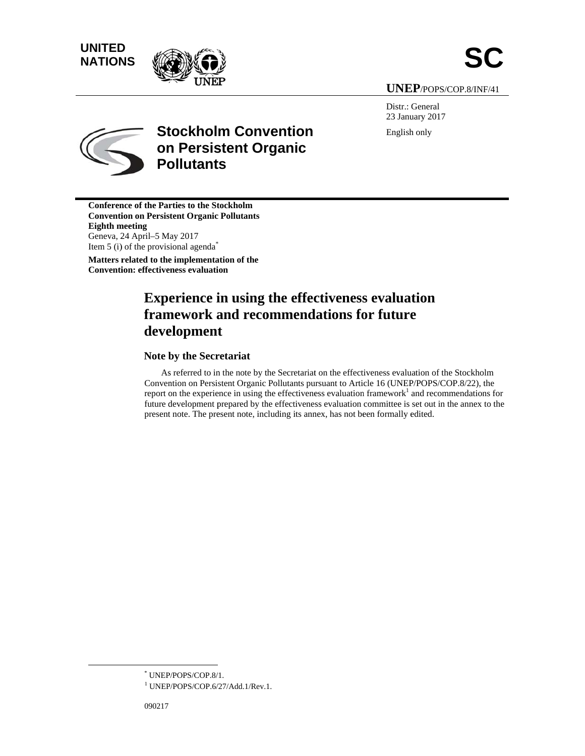# **UNITED** UNITED<br>NATIONS





**UNE EP**/POPS/COP P.8/INF/41

Distr.: General 23 Janu uary 2017 English h only



# **Stockholm Convention on Persistent Organic Pollutants**

**Conference of the Parties to the Stockholm Convention on Persistent Organic Pollutants Eighth m meeting**  Geneva, 2 24 April–5 M ay 2017 Item 5 (i) of the provisional agenda<sup>\*</sup> Matters related to the implementation of the **Convention: effectiveness evaluation** 

# **Experience in using the effectiveness evaluation** framework and recommendations for future **deve elopment**  $\bf{d}$  evelopment<br>Note by the Secretariat

As referred to in the note by the Secretariat on the effectiveness evaluation of the Stockholm Convention on Persistent Organic Pollutants pursuant to Article 16 (UNEP/POPS/COP.8/22), the report on the experience in using the effectiveness evaluation framework<sup>1</sup> and recommendations for future development prepared by the effectiveness evaluation committee is set out in the annex to the present note. The present note, including its annex, has not been formally edited.

 $\overline{a}$ 

 $\overline{a}$ 

 <sup>\*</sup> UNEP/POPS/COP.8/1.

<sup>&</sup>lt;sup>1</sup> UNEP/POPS/COP.6/27/Add.1/Rev.1.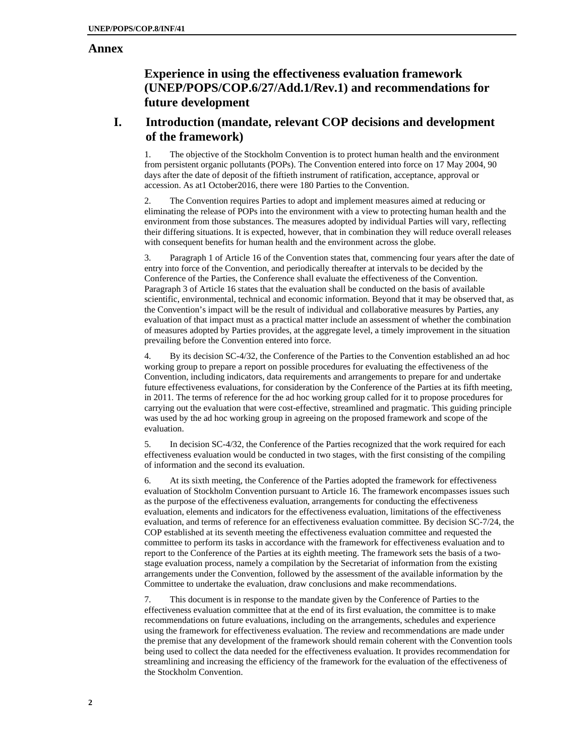## **Annex**

# **Experience in using the effectiveness evaluation framework (UNEP/POPS/COP.6/27/Add.1/Rev.1) and recommendations for future development**

# **I. Introduction (mandate, relevant COP decisions and development of the framework)**

1. The objective of the Stockholm Convention is to protect human health and the environment from persistent organic pollutants (POPs). The Convention entered into force on 17 May 2004, 90 days after the date of deposit of the fiftieth instrument of ratification, acceptance, approval or accession. As at1 October2016, there were 180 Parties to the Convention.

The Convention requires Parties to adopt and implement measures aimed at reducing or eliminating the release of POPs into the environment with a view to protecting human health and the environment from those substances. The measures adopted by individual Parties will vary, reflecting their differing situations. It is expected, however, that in combination they will reduce overall releases with consequent benefits for human health and the environment across the globe.

3. Paragraph 1 of Article 16 of the Convention states that, commencing four years after the date of entry into force of the Convention, and periodically thereafter at intervals to be decided by the Conference of the Parties, the Conference shall evaluate the effectiveness of the Convention. Paragraph 3 of Article 16 states that the evaluation shall be conducted on the basis of available scientific, environmental, technical and economic information. Beyond that it may be observed that, as the Convention's impact will be the result of individual and collaborative measures by Parties, any evaluation of that impact must as a practical matter include an assessment of whether the combination of measures adopted by Parties provides, at the aggregate level, a timely improvement in the situation prevailing before the Convention entered into force.

4. By its decision SC-4/32, the Conference of the Parties to the Convention established an ad hoc working group to prepare a report on possible procedures for evaluating the effectiveness of the Convention, including indicators, data requirements and arrangements to prepare for and undertake future effectiveness evaluations, for consideration by the Conference of the Parties at its fifth meeting, in 2011. The terms of reference for the ad hoc working group called for it to propose procedures for carrying out the evaluation that were cost-effective, streamlined and pragmatic. This guiding principle was used by the ad hoc working group in agreeing on the proposed framework and scope of the evaluation.

5. In decision SC-4/32, the Conference of the Parties recognized that the work required for each effectiveness evaluation would be conducted in two stages, with the first consisting of the compiling of information and the second its evaluation.

6. At its sixth meeting, the Conference of the Parties adopted the framework for effectiveness evaluation of Stockholm Convention pursuant to Article 16. The framework encompasses issues such as the purpose of the effectiveness evaluation, arrangements for conducting the effectiveness evaluation, elements and indicators for the effectiveness evaluation, limitations of the effectiveness evaluation, and terms of reference for an effectiveness evaluation committee. By decision SC-7/24, the COP established at its seventh meeting the effectiveness evaluation committee and requested the committee to perform its tasks in accordance with the framework for effectiveness evaluation and to report to the Conference of the Parties at its eighth meeting. The framework sets the basis of a twostage evaluation process, namely a compilation by the Secretariat of information from the existing arrangements under the Convention, followed by the assessment of the available information by the Committee to undertake the evaluation, draw conclusions and make recommendations.

7. This document is in response to the mandate given by the Conference of Parties to the effectiveness evaluation committee that at the end of its first evaluation, the committee is to make recommendations on future evaluations, including on the arrangements, schedules and experience using the framework for effectiveness evaluation. The review and recommendations are made under the premise that any development of the framework should remain coherent with the Convention tools being used to collect the data needed for the effectiveness evaluation. It provides recommendation for streamlining and increasing the efficiency of the framework for the evaluation of the effectiveness of the Stockholm Convention.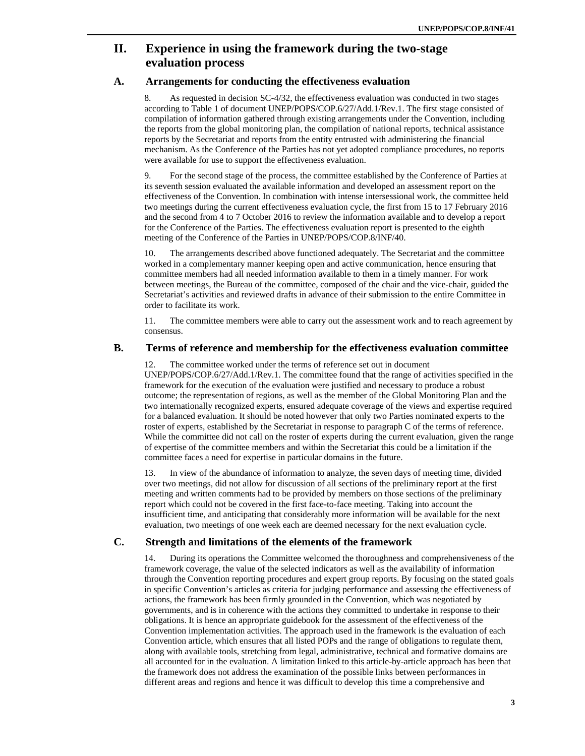# **II. Experience in using the framework during the two-stage evaluation process**

# **A. Arrangements for conducting the effectiveness evaluation**

8. As requested in decision SC-4/32, the effectiveness evaluation was conducted in two stages according to Table 1 of document UNEP/POPS/COP.6/27/Add.1/Rev.1. The first stage consisted of compilation of information gathered through existing arrangements under the Convention, including the reports from the global monitoring plan, the compilation of national reports, technical assistance reports by the Secretariat and reports from the entity entrusted with administering the financial mechanism. As the Conference of the Parties has not yet adopted compliance procedures, no reports were available for use to support the effectiveness evaluation.

9. For the second stage of the process, the committee established by the Conference of Parties at its seventh session evaluated the available information and developed an assessment report on the effectiveness of the Convention. In combination with intense intersessional work, the committee held two meetings during the current effectiveness evaluation cycle, the first from 15 to 17 February 2016 and the second from 4 to 7 October 2016 to review the information available and to develop a report for the Conference of the Parties. The effectiveness evaluation report is presented to the eighth meeting of the Conference of the Parties in UNEP/POPS/COP.8/INF/40.

10. The arrangements described above functioned adequately. The Secretariat and the committee worked in a complementary manner keeping open and active communication, hence ensuring that committee members had all needed information available to them in a timely manner. For work between meetings, the Bureau of the committee, composed of the chair and the vice-chair, guided the Secretariat's activities and reviewed drafts in advance of their submission to the entire Committee in order to facilitate its work.

11. The committee members were able to carry out the assessment work and to reach agreement by consensus.

#### **B. Terms of reference and membership for the effectiveness evaluation committee**

12. The committee worked under the terms of reference set out in document UNEP/POPS/COP.6/27/Add.1/Rev.1. The committee found that the range of activities specified in the framework for the execution of the evaluation were justified and necessary to produce a robust outcome; the representation of regions, as well as the member of the Global Monitoring Plan and the two internationally recognized experts, ensured adequate coverage of the views and expertise required for a balanced evaluation. It should be noted however that only two Parties nominated experts to the roster of experts, established by the Secretariat in response to paragraph C of the terms of reference. While the committee did not call on the roster of experts during the current evaluation, given the range of expertise of the committee members and within the Secretariat this could be a limitation if the committee faces a need for expertise in particular domains in the future.

13. In view of the abundance of information to analyze, the seven days of meeting time, divided over two meetings, did not allow for discussion of all sections of the preliminary report at the first meeting and written comments had to be provided by members on those sections of the preliminary report which could not be covered in the first face-to-face meeting. Taking into account the insufficient time, and anticipating that considerably more information will be available for the next evaluation, two meetings of one week each are deemed necessary for the next evaluation cycle.

## **C. Strength and limitations of the elements of the framework**

14. During its operations the Committee welcomed the thoroughness and comprehensiveness of the framework coverage, the value of the selected indicators as well as the availability of information through the Convention reporting procedures and expert group reports. By focusing on the stated goals in specific Convention's articles as criteria for judging performance and assessing the effectiveness of actions, the framework has been firmly grounded in the Convention, which was negotiated by governments, and is in coherence with the actions they committed to undertake in response to their obligations. It is hence an appropriate guidebook for the assessment of the effectiveness of the Convention implementation activities. The approach used in the framework is the evaluation of each Convention article, which ensures that all listed POPs and the range of obligations to regulate them, along with available tools, stretching from legal, administrative, technical and formative domains are all accounted for in the evaluation. A limitation linked to this article-by-article approach has been that the framework does not address the examination of the possible links between performances in different areas and regions and hence it was difficult to develop this time a comprehensive and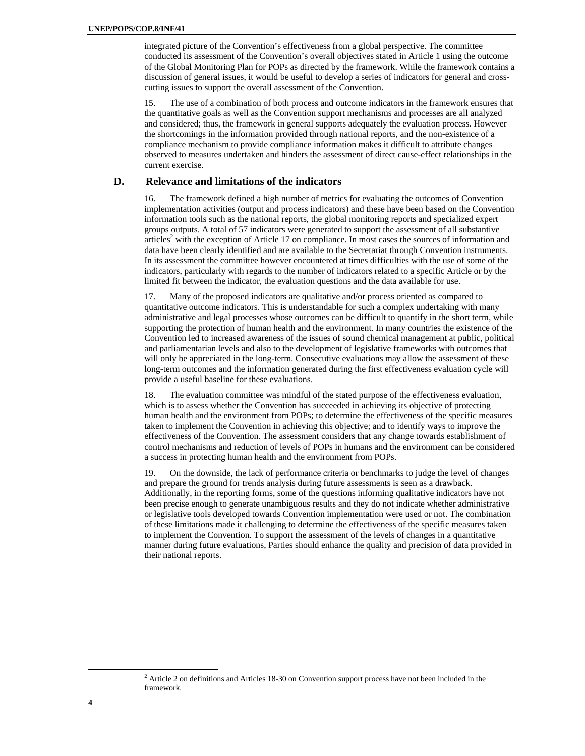integrated picture of the Convention's effectiveness from a global perspective. The committee conducted its assessment of the Convention's overall objectives stated in Article 1 using the outcome of the Global Monitoring Plan for POPs as directed by the framework. While the framework contains a discussion of general issues, it would be useful to develop a series of indicators for general and crosscutting issues to support the overall assessment of the Convention.

15. The use of a combination of both process and outcome indicators in the framework ensures that the quantitative goals as well as the Convention support mechanisms and processes are all analyzed and considered; thus, the framework in general supports adequately the evaluation process. However the shortcomings in the information provided through national reports, and the non-existence of a compliance mechanism to provide compliance information makes it difficult to attribute changes observed to measures undertaken and hinders the assessment of direct cause-effect relationships in the current exercise.

# **D. Relevance and limitations of the indicators**

16. The framework defined a high number of metrics for evaluating the outcomes of Convention implementation activities (output and process indicators) and these have been based on the Convention information tools such as the national reports, the global monitoring reports and specialized expert groups outputs. A total of 57 indicators were generated to support the assessment of all substantive  $articles<sup>2</sup>$  with the exception of Article 17 on compliance. In most cases the sources of information and data have been clearly identified and are available to the Secretariat through Convention instruments. In its assessment the committee however encountered at times difficulties with the use of some of the indicators, particularly with regards to the number of indicators related to a specific Article or by the limited fit between the indicator, the evaluation questions and the data available for use.

17. Many of the proposed indicators are qualitative and/or process oriented as compared to quantitative outcome indicators. This is understandable for such a complex undertaking with many administrative and legal processes whose outcomes can be difficult to quantify in the short term, while supporting the protection of human health and the environment. In many countries the existence of the Convention led to increased awareness of the issues of sound chemical management at public, political and parliamentarian levels and also to the development of legislative frameworks with outcomes that will only be appreciated in the long-term. Consecutive evaluations may allow the assessment of these long-term outcomes and the information generated during the first effectiveness evaluation cycle will provide a useful baseline for these evaluations.

18. The evaluation committee was mindful of the stated purpose of the effectiveness evaluation, which is to assess whether the Convention has succeeded in achieving its objective of protecting human health and the environment from POPs; to determine the effectiveness of the specific measures taken to implement the Convention in achieving this objective; and to identify ways to improve the effectiveness of the Convention. The assessment considers that any change towards establishment of control mechanisms and reduction of levels of POPs in humans and the environment can be considered a success in protecting human health and the environment from POPs.

19. On the downside, the lack of performance criteria or benchmarks to judge the level of changes and prepare the ground for trends analysis during future assessments is seen as a drawback. Additionally, in the reporting forms, some of the questions informing qualitative indicators have not been precise enough to generate unambiguous results and they do not indicate whether administrative or legislative tools developed towards Convention implementation were used or not. The combination of these limitations made it challenging to determine the effectiveness of the specific measures taken to implement the Convention. To support the assessment of the levels of changes in a quantitative manner during future evaluations, Parties should enhance the quality and precision of data provided in their national reports.

 <sup>2</sup> <sup>2</sup> Article 2 on definitions and Articles 18-30 on Convention support process have not been included in the framework.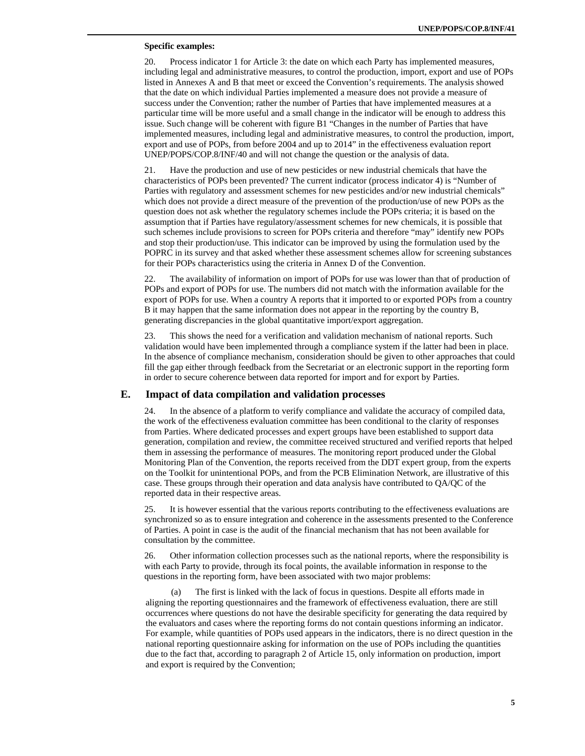#### **Specific examples:**

20. Process indicator 1 for Article 3: the date on which each Party has implemented measures, including legal and administrative measures, to control the production, import, export and use of POPs listed in Annexes A and B that meet or exceed the Convention's requirements. The analysis showed that the date on which individual Parties implemented a measure does not provide a measure of success under the Convention; rather the number of Parties that have implemented measures at a particular time will be more useful and a small change in the indicator will be enough to address this issue. Such change will be coherent with figure B1 "Changes in the number of Parties that have implemented measures, including legal and administrative measures, to control the production, import, export and use of POPs, from before 2004 and up to 2014" in the effectiveness evaluation report UNEP/POPS/COP.8/INF/40 and will not change the question or the analysis of data.

21. Have the production and use of new pesticides or new industrial chemicals that have the characteristics of POPs been prevented? The current indicator (process indicator 4) is "Number of Parties with regulatory and assessment schemes for new pesticides and/or new industrial chemicals" which does not provide a direct measure of the prevention of the production/use of new POPs as the question does not ask whether the regulatory schemes include the POPs criteria; it is based on the assumption that if Parties have regulatory/assessment schemes for new chemicals, it is possible that such schemes include provisions to screen for POPs criteria and therefore "may" identify new POPs and stop their production/use. This indicator can be improved by using the formulation used by the POPRC in its survey and that asked whether these assessment schemes allow for screening substances for their POPs characteristics using the criteria in Annex D of the Convention.

22. The availability of information on import of POPs for use was lower than that of production of POPs and export of POPs for use. The numbers did not match with the information available for the export of POPs for use. When a country A reports that it imported to or exported POPs from a country B it may happen that the same information does not appear in the reporting by the country B, generating discrepancies in the global quantitative import/export aggregation.

23. This shows the need for a verification and validation mechanism of national reports. Such validation would have been implemented through a compliance system if the latter had been in place. In the absence of compliance mechanism, consideration should be given to other approaches that could fill the gap either through feedback from the Secretariat or an electronic support in the reporting form in order to secure coherence between data reported for import and for export by Parties.

#### **E. Impact of data compilation and validation processes**

24. In the absence of a platform to verify compliance and validate the accuracy of compiled data, the work of the effectiveness evaluation committee has been conditional to the clarity of responses from Parties. Where dedicated processes and expert groups have been established to support data generation, compilation and review, the committee received structured and verified reports that helped them in assessing the performance of measures. The monitoring report produced under the Global Monitoring Plan of the Convention, the reports received from the DDT expert group, from the experts on the Toolkit for unintentional POPs, and from the PCB Elimination Network, are illustrative of this case. These groups through their operation and data analysis have contributed to QA/QC of the reported data in their respective areas.

25. It is however essential that the various reports contributing to the effectiveness evaluations are synchronized so as to ensure integration and coherence in the assessments presented to the Conference of Parties. A point in case is the audit of the financial mechanism that has not been available for consultation by the committee.

26. Other information collection processes such as the national reports, where the responsibility is with each Party to provide, through its focal points, the available information in response to the questions in the reporting form, have been associated with two major problems:

The first is linked with the lack of focus in questions. Despite all efforts made in aligning the reporting questionnaires and the framework of effectiveness evaluation, there are still occurrences where questions do not have the desirable specificity for generating the data required by the evaluators and cases where the reporting forms do not contain questions informing an indicator. For example, while quantities of POPs used appears in the indicators, there is no direct question in the national reporting questionnaire asking for information on the use of POPs including the quantities due to the fact that, according to paragraph 2 of Article 15, only information on production, import and export is required by the Convention;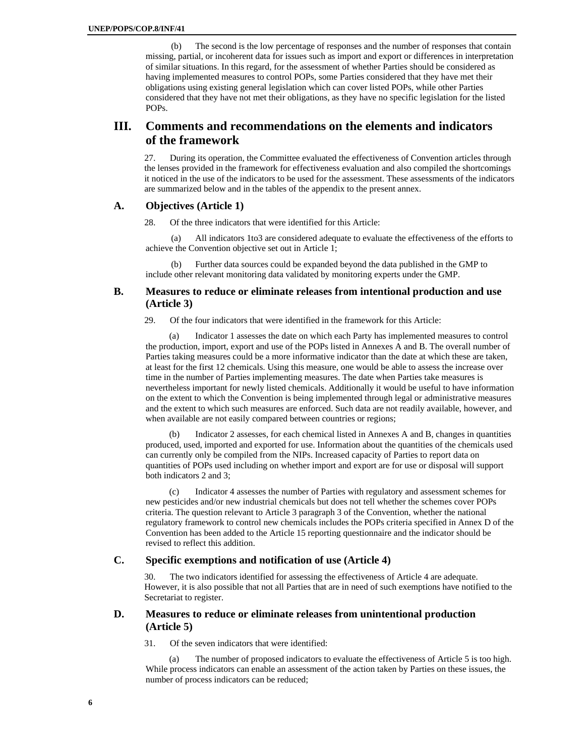(b) The second is the low percentage of responses and the number of responses that contain missing, partial, or incoherent data for issues such as import and export or differences in interpretation of similar situations. In this regard, for the assessment of whether Parties should be considered as having implemented measures to control POPs, some Parties considered that they have met their obligations using existing general legislation which can cover listed POPs, while other Parties considered that they have not met their obligations, as they have no specific legislation for the listed POPs.

# **III. Comments and recommendations on the elements and indicators of the framework**

27. During its operation, the Committee evaluated the effectiveness of Convention articles through the lenses provided in the framework for effectiveness evaluation and also compiled the shortcomings it noticed in the use of the indicators to be used for the assessment. These assessments of the indicators are summarized below and in the tables of the appendix to the present annex.

#### **A. Objectives (Article 1)**

28. Of the three indicators that were identified for this Article:

(a) All indicators 1to3 are considered adequate to evaluate the effectiveness of the efforts to achieve the Convention objective set out in Article 1;

(b) Further data sources could be expanded beyond the data published in the GMP to include other relevant monitoring data validated by monitoring experts under the GMP.

# **B. Measures to reduce or eliminate releases from intentional production and use (Article 3)**

29. Of the four indicators that were identified in the framework for this Article:

(a) Indicator 1 assesses the date on which each Party has implemented measures to control the production, import, export and use of the POPs listed in Annexes A and B. The overall number of Parties taking measures could be a more informative indicator than the date at which these are taken, at least for the first 12 chemicals. Using this measure, one would be able to assess the increase over time in the number of Parties implementing measures. The date when Parties take measures is nevertheless important for newly listed chemicals. Additionally it would be useful to have information on the extent to which the Convention is being implemented through legal or administrative measures and the extent to which such measures are enforced. Such data are not readily available, however, and when available are not easily compared between countries or regions;

(b) Indicator 2 assesses, for each chemical listed in Annexes A and B, changes in quantities produced, used, imported and exported for use. Information about the quantities of the chemicals used can currently only be compiled from the NIPs. Increased capacity of Parties to report data on quantities of POPs used including on whether import and export are for use or disposal will support both indicators 2 and 3;

(c) Indicator 4 assesses the number of Parties with regulatory and assessment schemes for new pesticides and/or new industrial chemicals but does not tell whether the schemes cover POPs criteria. The question relevant to Article 3 paragraph 3 of the Convention, whether the national regulatory framework to control new chemicals includes the POPs criteria specified in Annex D of the Convention has been added to the Article 15 reporting questionnaire and the indicator should be revised to reflect this addition.

# **C. Specific exemptions and notification of use (Article 4)**

The two indicators identified for assessing the effectiveness of Article 4 are adequate. However, it is also possible that not all Parties that are in need of such exemptions have notified to the Secretariat to register.

## **D. Measures to reduce or eliminate releases from unintentional production (Article 5)**

31. Of the seven indicators that were identified:

(a) The number of proposed indicators to evaluate the effectiveness of Article 5 is too high. While process indicators can enable an assessment of the action taken by Parties on these issues, the number of process indicators can be reduced;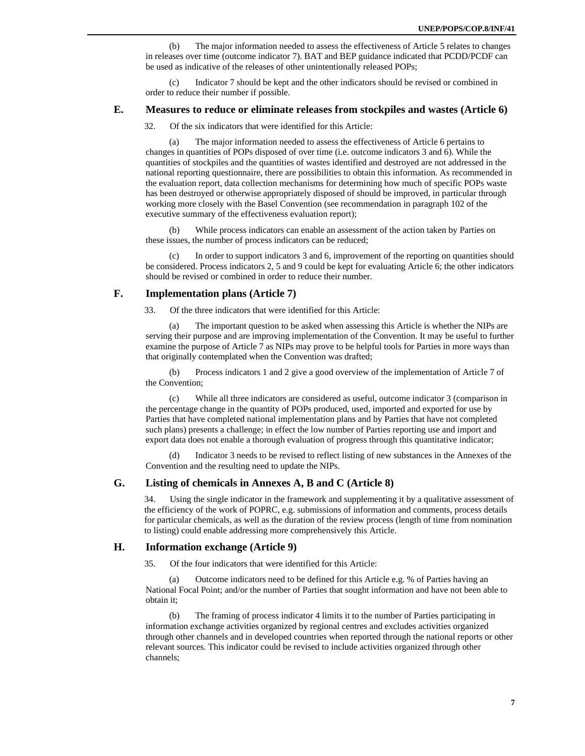(b) The major information needed to assess the effectiveness of Article 5 relates to changes in releases over time (outcome indicator 7). BAT and BEP guidance indicated that PCDD/PCDF can be used as indicative of the releases of other unintentionally released POPs;

(c) Indicator 7 should be kept and the other indicators should be revised or combined in order to reduce their number if possible.

## **E. Measures to reduce or eliminate releases from stockpiles and wastes (Article 6)**

32. Of the six indicators that were identified for this Article:

(a) The major information needed to assess the effectiveness of Article 6 pertains to changes in quantities of POPs disposed of over time (i.e. outcome indicators 3 and 6). While the quantities of stockpiles and the quantities of wastes identified and destroyed are not addressed in the national reporting questionnaire, there are possibilities to obtain this information. As recommended in the evaluation report, data collection mechanisms for determining how much of specific POPs waste has been destroyed or otherwise appropriately disposed of should be improved, in particular through working more closely with the Basel Convention (see recommendation in paragraph 102 of the executive summary of the effectiveness evaluation report);

(b) While process indicators can enable an assessment of the action taken by Parties on these issues, the number of process indicators can be reduced;

In order to support indicators 3 and 6, improvement of the reporting on quantities should be considered. Process indicators 2, 5 and 9 could be kept for evaluating Article 6; the other indicators should be revised or combined in order to reduce their number.

# **F. Implementation plans (Article 7)**

33. Of the three indicators that were identified for this Article:

(a) The important question to be asked when assessing this Article is whether the NIPs are serving their purpose and are improving implementation of the Convention. It may be useful to further examine the purpose of Article 7 as NIPs may prove to be helpful tools for Parties in more ways than that originally contemplated when the Convention was drafted;

(b) Process indicators 1 and 2 give a good overview of the implementation of Article 7 of the Convention;

(c) While all three indicators are considered as useful, outcome indicator 3 (comparison in the percentage change in the quantity of POPs produced, used, imported and exported for use by Parties that have completed national implementation plans and by Parties that have not completed such plans) presents a challenge; in effect the low number of Parties reporting use and import and export data does not enable a thorough evaluation of progress through this quantitative indicator;

Indicator 3 needs to be revised to reflect listing of new substances in the Annexes of the Convention and the resulting need to update the NIPs.

# **G. Listing of chemicals in Annexes A, B and C (Article 8)**

34. Using the single indicator in the framework and supplementing it by a qualitative assessment of the efficiency of the work of POPRC, e.g. submissions of information and comments, process details for particular chemicals, as well as the duration of the review process (length of time from nomination to listing) could enable addressing more comprehensively this Article.

#### **H. Information exchange (Article 9)**

35. Of the four indicators that were identified for this Article:

(a) Outcome indicators need to be defined for this Article e.g. % of Parties having an National Focal Point; and/or the number of Parties that sought information and have not been able to obtain it;

(b) The framing of process indicator 4 limits it to the number of Parties participating in information exchange activities organized by regional centres and excludes activities organized through other channels and in developed countries when reported through the national reports or other relevant sources. This indicator could be revised to include activities organized through other channels;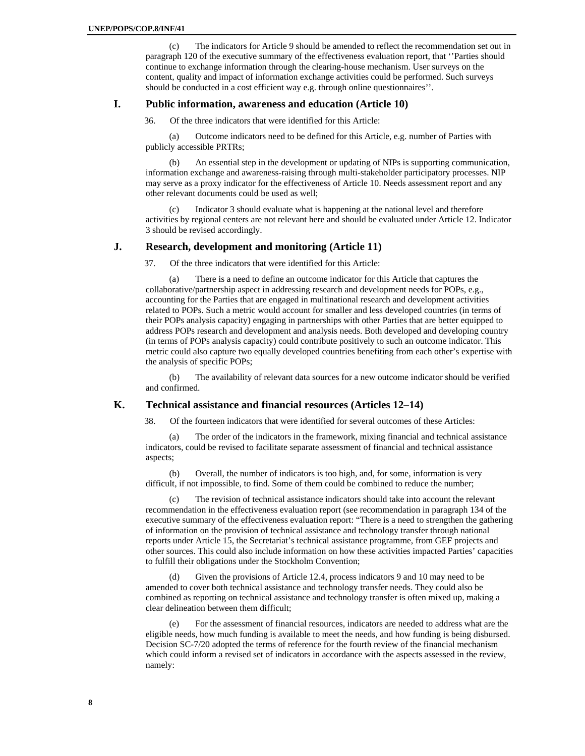(c) The indicators for Article 9 should be amended to reflect the recommendation set out in paragraph 120 of the executive summary of the effectiveness evaluation report, that ''Parties should continue to exchange information through the clearing-house mechanism. User surveys on the content, quality and impact of information exchange activities could be performed. Such surveys should be conducted in a cost efficient way e.g. through online questionnaires''.

# **I. Public information, awareness and education (Article 10)**

36. Of the three indicators that were identified for this Article:

(a) Outcome indicators need to be defined for this Article, e.g. number of Parties with publicly accessible PRTRs;

(b) An essential step in the development or updating of NIPs is supporting communication, information exchange and awareness-raising through multi-stakeholder participatory processes. NIP may serve as a proxy indicator for the effectiveness of Article 10. Needs assessment report and any other relevant documents could be used as well;

(c) Indicator 3 should evaluate what is happening at the national level and therefore activities by regional centers are not relevant here and should be evaluated under Article 12. Indicator 3 should be revised accordingly.

## **J. Research, development and monitoring (Article 11)**

37. Of the three indicators that were identified for this Article:

(a) There is a need to define an outcome indicator for this Article that captures the collaborative/partnership aspect in addressing research and development needs for POPs, e.g., accounting for the Parties that are engaged in multinational research and development activities related to POPs. Such a metric would account for smaller and less developed countries (in terms of their POPs analysis capacity) engaging in partnerships with other Parties that are better equipped to address POPs research and development and analysis needs. Both developed and developing country (in terms of POPs analysis capacity) could contribute positively to such an outcome indicator. This metric could also capture two equally developed countries benefiting from each other's expertise with the analysis of specific POPs;

(b) The availability of relevant data sources for a new outcome indicator should be verified and confirmed.

## **K. Technical assistance and financial resources (Articles 12–14)**

38. Of the fourteen indicators that were identified for several outcomes of these Articles:

(a) The order of the indicators in the framework, mixing financial and technical assistance indicators, could be revised to facilitate separate assessment of financial and technical assistance aspects;

(b) Overall, the number of indicators is too high, and, for some, information is very difficult, if not impossible, to find. Some of them could be combined to reduce the number;

(c) The revision of technical assistance indicators should take into account the relevant recommendation in the effectiveness evaluation report (see recommendation in paragraph 134 of the executive summary of the effectiveness evaluation report: "There is a need to strengthen the gathering of information on the provision of technical assistance and technology transfer through national reports under Article 15, the Secretariat's technical assistance programme, from GEF projects and other sources. This could also include information on how these activities impacted Parties' capacities to fulfill their obligations under the Stockholm Convention;

Given the provisions of Article 12.4, process indicators 9 and 10 may need to be amended to cover both technical assistance and technology transfer needs. They could also be combined as reporting on technical assistance and technology transfer is often mixed up, making a clear delineation between them difficult;

(e) For the assessment of financial resources, indicators are needed to address what are the eligible needs, how much funding is available to meet the needs, and how funding is being disbursed. Decision SC-7/20 adopted the terms of reference for the fourth review of the financial mechanism which could inform a revised set of indicators in accordance with the aspects assessed in the review, namely: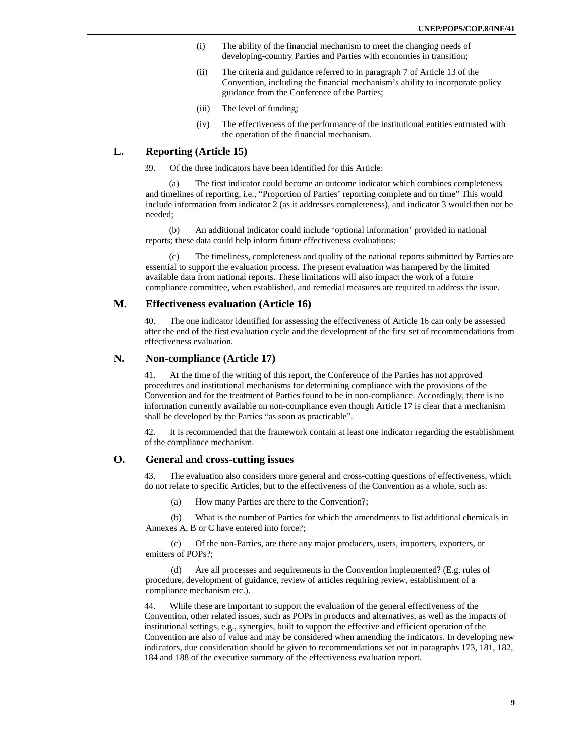- (i) The ability of the financial mechanism to meet the changing needs of developing-country Parties and Parties with economies in transition;
- (ii) The criteria and guidance referred to in paragraph 7 of Article 13 of the Convention, including the financial mechanism's ability to incorporate policy guidance from the Conference of the Parties;
- (iii) The level of funding;
- (iv) The effectiveness of the performance of the institutional entities entrusted with the operation of the financial mechanism.

## **L. Reporting (Article 15)**

39. Of the three indicators have been identified for this Article:

(a) The first indicator could become an outcome indicator which combines completeness and timelines of reporting, i.e., "Proportion of Parties' reporting complete and on time" This would include information from indicator 2 (as it addresses completeness), and indicator 3 would then not be needed;

(b) An additional indicator could include 'optional information' provided in national reports; these data could help inform future effectiveness evaluations;

The timeliness, completeness and quality of the national reports submitted by Parties are essential to support the evaluation process. The present evaluation was hampered by the limited available data from national reports. These limitations will also impact the work of a future compliance committee, when established, and remedial measures are required to address the issue.

# **M. Effectiveness evaluation (Article 16)**

The one indicator identified for assessing the effectiveness of Article 16 can only be assessed after the end of the first evaluation cycle and the development of the first set of recommendations from effectiveness evaluation.

### **N. Non-compliance (Article 17)**

41. At the time of the writing of this report, the Conference of the Parties has not approved procedures and institutional mechanisms for determining compliance with the provisions of the Convention and for the treatment of Parties found to be in non-compliance. Accordingly, there is no information currently available on non-compliance even though Article 17 is clear that a mechanism shall be developed by the Parties "as soon as practicable".

42. It is recommended that the framework contain at least one indicator regarding the establishment of the compliance mechanism.

### **O. General and cross-cutting issues**

43. The evaluation also considers more general and cross-cutting questions of effectiveness, which do not relate to specific Articles, but to the effectiveness of the Convention as a whole, such as:

(a) How many Parties are there to the Convention?;

(b) What is the number of Parties for which the amendments to list additional chemicals in Annexes A, B or C have entered into force?;

(c) Of the non-Parties, are there any major producers, users, importers, exporters, or emitters of POPs?;

(d) Are all processes and requirements in the Convention implemented? (E.g. rules of procedure, development of guidance, review of articles requiring review, establishment of a compliance mechanism etc.).

44. While these are important to support the evaluation of the general effectiveness of the Convention, other related issues, such as POPs in products and alternatives, as well as the impacts of institutional settings, e.g., synergies, built to support the effective and efficient operation of the Convention are also of value and may be considered when amending the indicators. In developing new indicators, due consideration should be given to recommendations set out in paragraphs 173, 181, 182, 184 and 188 of the executive summary of the effectiveness evaluation report.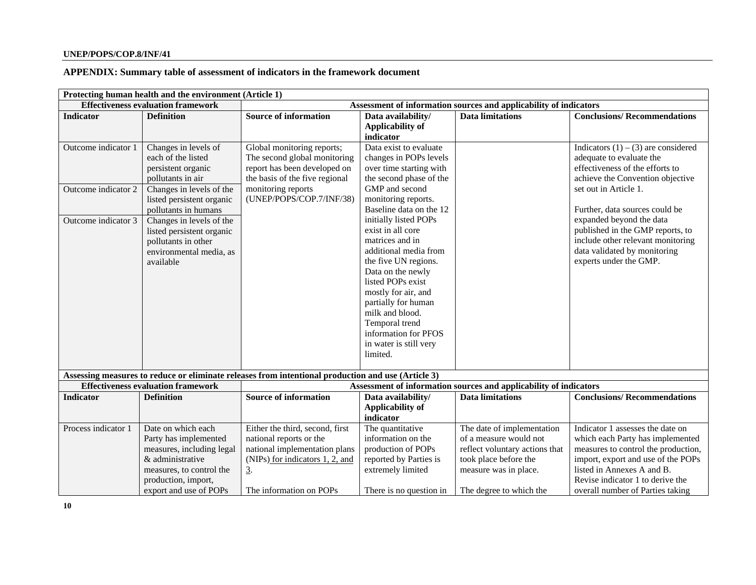# **APPENDIX: Summary table of assessment of indicators in the framework document**

|                     | Protecting human health and the environment (Article 1) |                                                                                                    |                                                                   |                                                                   |                                       |  |  |
|---------------------|---------------------------------------------------------|----------------------------------------------------------------------------------------------------|-------------------------------------------------------------------|-------------------------------------------------------------------|---------------------------------------|--|--|
|                     | <b>Effectiveness evaluation framework</b>               |                                                                                                    | Assessment of information sources and applicability of indicators |                                                                   |                                       |  |  |
| <b>Indicator</b>    | <b>Definition</b>                                       | <b>Source of information</b>                                                                       | Data availability/                                                | <b>Data limitations</b>                                           | <b>Conclusions/Recommendations</b>    |  |  |
|                     |                                                         |                                                                                                    | <b>Applicability of</b>                                           |                                                                   |                                       |  |  |
|                     |                                                         |                                                                                                    | indicator                                                         |                                                                   |                                       |  |  |
| Outcome indicator 1 | Changes in levels of                                    | Global monitoring reports;                                                                         | Data exist to evaluate                                            |                                                                   | Indicators $(1) - (3)$ are considered |  |  |
|                     | each of the listed                                      | The second global monitoring                                                                       | changes in POPs levels                                            |                                                                   | adequate to evaluate the              |  |  |
|                     | persistent organic                                      | report has been developed on                                                                       | over time starting with                                           |                                                                   | effectiveness of the efforts to       |  |  |
|                     | pollutants in air                                       | the basis of the five regional                                                                     | the second phase of the                                           |                                                                   | achieve the Convention objective      |  |  |
| Outcome indicator 2 | Changes in levels of the                                | monitoring reports                                                                                 | GMP and second                                                    |                                                                   | set out in Article 1.                 |  |  |
|                     | listed persistent organic                               | (UNEP/POPS/COP.7/INF/38)                                                                           | monitoring reports.                                               |                                                                   |                                       |  |  |
|                     | pollutants in humans                                    |                                                                                                    | Baseline data on the 12                                           |                                                                   | Further, data sources could be        |  |  |
| Outcome indicator 3 | Changes in levels of the                                |                                                                                                    | initially listed POPs                                             |                                                                   | expanded beyond the data              |  |  |
|                     | listed persistent organic                               |                                                                                                    | exist in all core                                                 |                                                                   | published in the GMP reports, to      |  |  |
|                     | pollutants in other                                     |                                                                                                    | matrices and in                                                   |                                                                   | include other relevant monitoring     |  |  |
|                     | environmental media, as                                 |                                                                                                    | additional media from                                             |                                                                   | data validated by monitoring          |  |  |
|                     | available                                               |                                                                                                    | the five UN regions.                                              |                                                                   | experts under the GMP.                |  |  |
|                     |                                                         |                                                                                                    | Data on the newly                                                 |                                                                   |                                       |  |  |
|                     |                                                         |                                                                                                    | listed POPs exist                                                 |                                                                   |                                       |  |  |
|                     |                                                         |                                                                                                    | mostly for air, and                                               |                                                                   |                                       |  |  |
|                     |                                                         |                                                                                                    | partially for human                                               |                                                                   |                                       |  |  |
|                     |                                                         |                                                                                                    | milk and blood.                                                   |                                                                   |                                       |  |  |
|                     |                                                         |                                                                                                    | Temporal trend                                                    |                                                                   |                                       |  |  |
|                     |                                                         |                                                                                                    | information for PFOS                                              |                                                                   |                                       |  |  |
|                     |                                                         |                                                                                                    | in water is still very                                            |                                                                   |                                       |  |  |
|                     |                                                         |                                                                                                    | limited.                                                          |                                                                   |                                       |  |  |
|                     |                                                         |                                                                                                    |                                                                   |                                                                   |                                       |  |  |
|                     |                                                         | Assessing measures to reduce or eliminate releases from intentional production and use (Article 3) |                                                                   |                                                                   |                                       |  |  |
|                     | <b>Effectiveness evaluation framework</b>               |                                                                                                    |                                                                   | Assessment of information sources and applicability of indicators |                                       |  |  |
| <b>Indicator</b>    | <b>Definition</b>                                       | <b>Source of information</b>                                                                       | Data availability/                                                | <b>Data limitations</b>                                           | <b>Conclusions/Recommendations</b>    |  |  |
|                     |                                                         |                                                                                                    | <b>Applicability of</b>                                           |                                                                   |                                       |  |  |
|                     |                                                         |                                                                                                    | indicator                                                         |                                                                   |                                       |  |  |
| Process indicator 1 | Date on which each                                      | Either the third, second, first                                                                    | The quantitative                                                  | The date of implementation                                        | Indicator 1 assesses the date on      |  |  |
|                     | Party has implemented                                   | national reports or the                                                                            | information on the                                                | of a measure would not                                            | which each Party has implemented      |  |  |
|                     | measures, including legal                               | national implementation plans                                                                      | production of POPs                                                | reflect voluntary actions that                                    | measures to control the production,   |  |  |
|                     | & administrative                                        | (NIPs) for indicators 1, 2, and                                                                    | reported by Parties is                                            | took place before the                                             | import, export and use of the POPs    |  |  |
|                     | measures, to control the                                | $\overline{3}$ .                                                                                   | extremely limited                                                 | measure was in place.                                             | listed in Annexes A and B.            |  |  |
|                     | production, import,                                     |                                                                                                    |                                                                   |                                                                   | Revise indicator 1 to derive the      |  |  |
|                     | export and use of POPs                                  | The information on POPs                                                                            | There is no question in                                           | The degree to which the                                           | overall number of Parties taking      |  |  |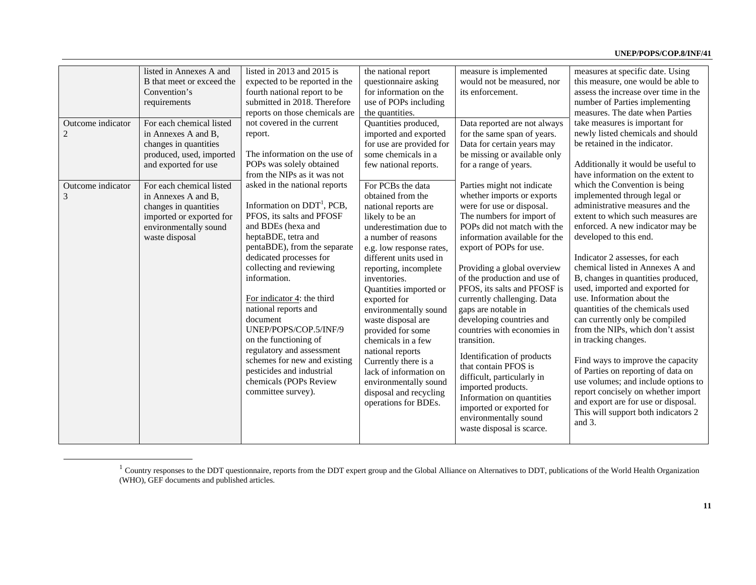|                                     | listed in Annexes A and<br>B that meet or exceed the                                                                                            | listed in $2013$ and $2015$ is<br>expected to be reported in the                                                                                                                                                                                                                                                                                                                                                                                                                                             | the national report<br>questionnaire asking                                                                                                                                                                                                                                                                                                                                                                                                                                                                             | measure is implemented<br>would not be measured, nor                                                                                                                                                                                                                                                                                                                                                                                                                                                                                                                                                                                                                  | measures at specific date. Using<br>this measure, one would be able to                                                                                                                                                                                                                                                                                                                                                                                                                                                                                                                                                                                                                                                                                                 |
|-------------------------------------|-------------------------------------------------------------------------------------------------------------------------------------------------|--------------------------------------------------------------------------------------------------------------------------------------------------------------------------------------------------------------------------------------------------------------------------------------------------------------------------------------------------------------------------------------------------------------------------------------------------------------------------------------------------------------|-------------------------------------------------------------------------------------------------------------------------------------------------------------------------------------------------------------------------------------------------------------------------------------------------------------------------------------------------------------------------------------------------------------------------------------------------------------------------------------------------------------------------|-----------------------------------------------------------------------------------------------------------------------------------------------------------------------------------------------------------------------------------------------------------------------------------------------------------------------------------------------------------------------------------------------------------------------------------------------------------------------------------------------------------------------------------------------------------------------------------------------------------------------------------------------------------------------|------------------------------------------------------------------------------------------------------------------------------------------------------------------------------------------------------------------------------------------------------------------------------------------------------------------------------------------------------------------------------------------------------------------------------------------------------------------------------------------------------------------------------------------------------------------------------------------------------------------------------------------------------------------------------------------------------------------------------------------------------------------------|
|                                     | Convention's<br>requirements                                                                                                                    | fourth national report to be<br>submitted in 2018. Therefore                                                                                                                                                                                                                                                                                                                                                                                                                                                 | for information on the<br>use of POPs including                                                                                                                                                                                                                                                                                                                                                                                                                                                                         | its enforcement.                                                                                                                                                                                                                                                                                                                                                                                                                                                                                                                                                                                                                                                      | assess the increase over time in the<br>number of Parties implementing                                                                                                                                                                                                                                                                                                                                                                                                                                                                                                                                                                                                                                                                                                 |
|                                     |                                                                                                                                                 | reports on those chemicals are                                                                                                                                                                                                                                                                                                                                                                                                                                                                               | the quantities.                                                                                                                                                                                                                                                                                                                                                                                                                                                                                                         |                                                                                                                                                                                                                                                                                                                                                                                                                                                                                                                                                                                                                                                                       | measures. The date when Parties                                                                                                                                                                                                                                                                                                                                                                                                                                                                                                                                                                                                                                                                                                                                        |
| Outcome indicator<br>$\overline{c}$ | For each chemical listed<br>in Annexes A and B,<br>changes in quantities<br>produced, used, imported<br>and exported for use                    | not covered in the current<br>report.<br>The information on the use of<br>POPs was solely obtained<br>from the NIPs as it was not                                                                                                                                                                                                                                                                                                                                                                            | Quantities produced,<br>imported and exported<br>for use are provided for<br>some chemicals in a<br>few national reports.                                                                                                                                                                                                                                                                                                                                                                                               | Data reported are not always<br>for the same span of years.<br>Data for certain years may<br>be missing or available only<br>for a range of years.                                                                                                                                                                                                                                                                                                                                                                                                                                                                                                                    | take measures is important for<br>newly listed chemicals and should<br>be retained in the indicator.<br>Additionally it would be useful to<br>have information on the extent to                                                                                                                                                                                                                                                                                                                                                                                                                                                                                                                                                                                        |
| Outcome indicator<br>3              | For each chemical listed<br>in Annexes A and B,<br>changes in quantities<br>imported or exported for<br>environmentally sound<br>waste disposal | asked in the national reports<br>Information on $DDT1$ , PCB,<br>PFOS, its salts and PFOSF<br>and BDEs (hexa and<br>heptaBDE, tetra and<br>pentaBDE), from the separate<br>dedicated processes for<br>collecting and reviewing<br>information.<br>For indicator 4: the third<br>national reports and<br>document<br>UNEP/POPS/COP.5/INF/9<br>on the functioning of<br>regulatory and assessment<br>schemes for new and existing<br>pesticides and industrial<br>chemicals (POPs Review<br>committee survey). | For PCBs the data<br>obtained from the<br>national reports are<br>likely to be an<br>underestimation due to<br>a number of reasons<br>e.g. low response rates,<br>different units used in<br>reporting, incomplete<br>inventories.<br>Quantities imported or<br>exported for<br>environmentally sound<br>waste disposal are<br>provided for some<br>chemicals in a few<br>national reports<br>Currently there is a<br>lack of information on<br>environmentally sound<br>disposal and recycling<br>operations for BDEs. | Parties might not indicate<br>whether imports or exports<br>were for use or disposal.<br>The numbers for import of<br>POPs did not match with the<br>information available for the<br>export of POPs for use.<br>Providing a global overview<br>of the production and use of<br>PFOS, its salts and PFOSF is<br>currently challenging. Data<br>gaps are notable in<br>developing countries and<br>countries with economies in<br>transition.<br>Identification of products<br>that contain PFOS is<br>difficult, particularly in<br>imported products.<br>Information on quantities<br>imported or exported for<br>environmentally sound<br>waste disposal is scarce. | which the Convention is being<br>implemented through legal or<br>administrative measures and the<br>extent to which such measures are<br>enforced. A new indicator may be<br>developed to this end.<br>Indicator 2 assesses, for each<br>chemical listed in Annexes A and<br>B, changes in quantities produced,<br>used, imported and exported for<br>use. Information about the<br>quantities of the chemicals used<br>can currently only be compiled<br>from the NIPs, which don't assist<br>in tracking changes.<br>Find ways to improve the capacity<br>of Parties on reporting of data on<br>use volumes; and include options to<br>report concisely on whether import<br>and export are for use or disposal.<br>This will support both indicators 2<br>and $3$ . |

 $1$  Country responses to the DDT questionnaire, reports from the DDT expert group and the Global Alliance on Alternatives to DDT, publications of the World Health Organization (WHO), GEF documents and published articles.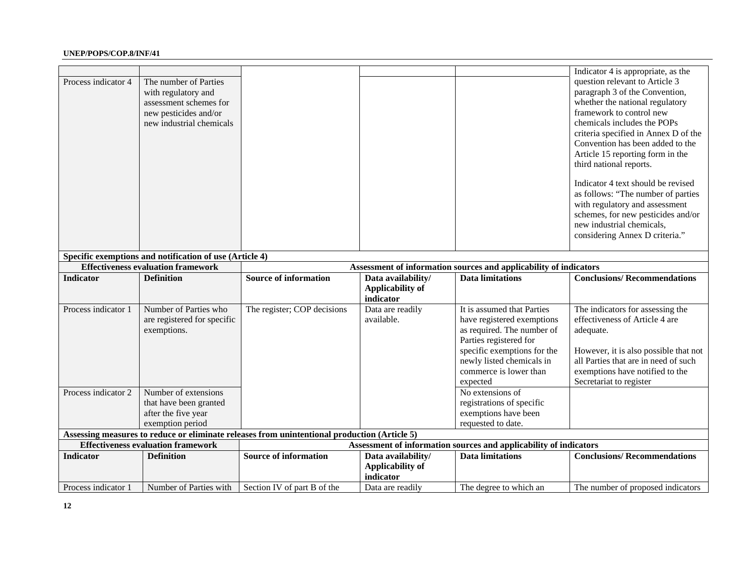|                     |                                                         |                                                                                              |                         |                                                                   | Indicator 4 is appropriate, as the    |  |  |
|---------------------|---------------------------------------------------------|----------------------------------------------------------------------------------------------|-------------------------|-------------------------------------------------------------------|---------------------------------------|--|--|
| Process indicator 4 | The number of Parties                                   |                                                                                              |                         |                                                                   | question relevant to Article 3        |  |  |
|                     | with regulatory and                                     |                                                                                              |                         |                                                                   | paragraph 3 of the Convention,        |  |  |
|                     | assessment schemes for                                  |                                                                                              |                         |                                                                   | whether the national regulatory       |  |  |
|                     | new pesticides and/or                                   |                                                                                              |                         |                                                                   | framework to control new              |  |  |
|                     | new industrial chemicals                                |                                                                                              |                         |                                                                   | chemicals includes the POPs           |  |  |
|                     |                                                         |                                                                                              |                         |                                                                   | criteria specified in Annex D of the  |  |  |
|                     |                                                         |                                                                                              |                         |                                                                   | Convention has been added to the      |  |  |
|                     |                                                         |                                                                                              |                         |                                                                   | Article 15 reporting form in the      |  |  |
|                     |                                                         |                                                                                              |                         |                                                                   | third national reports.               |  |  |
|                     |                                                         |                                                                                              |                         |                                                                   |                                       |  |  |
|                     |                                                         |                                                                                              |                         |                                                                   | Indicator 4 text should be revised    |  |  |
|                     |                                                         |                                                                                              |                         |                                                                   | as follows: "The number of parties    |  |  |
|                     |                                                         |                                                                                              |                         |                                                                   | with regulatory and assessment        |  |  |
|                     |                                                         |                                                                                              |                         |                                                                   | schemes, for new pesticides and/or    |  |  |
|                     |                                                         |                                                                                              |                         |                                                                   | new industrial chemicals,             |  |  |
|                     |                                                         |                                                                                              |                         |                                                                   | considering Annex D criteria."        |  |  |
|                     |                                                         |                                                                                              |                         |                                                                   |                                       |  |  |
|                     | Specific exemptions and notification of use (Article 4) |                                                                                              |                         |                                                                   |                                       |  |  |
|                     | <b>Effectiveness evaluation framework</b>               | Assessment of information sources and applicability of indicators                            |                         |                                                                   |                                       |  |  |
| <b>Indicator</b>    | <b>Definition</b>                                       | <b>Source of information</b>                                                                 | Data availability/      | <b>Data limitations</b>                                           | <b>Conclusions/Recommendations</b>    |  |  |
|                     |                                                         |                                                                                              | <b>Applicability of</b> |                                                                   |                                       |  |  |
|                     |                                                         |                                                                                              | indicator               |                                                                   |                                       |  |  |
| Process indicator 1 | Number of Parties who                                   | The register; COP decisions                                                                  | Data are readily        | It is assumed that Parties                                        | The indicators for assessing the      |  |  |
|                     | are registered for specific                             |                                                                                              | available.              | have registered exemptions                                        | effectiveness of Article 4 are        |  |  |
|                     | exemptions.                                             |                                                                                              |                         | as required. The number of                                        | adequate.                             |  |  |
|                     |                                                         |                                                                                              |                         | Parties registered for                                            |                                       |  |  |
|                     |                                                         |                                                                                              |                         | specific exemptions for the                                       | However, it is also possible that not |  |  |
|                     |                                                         |                                                                                              |                         | newly listed chemicals in                                         | all Parties that are in need of such  |  |  |
|                     |                                                         |                                                                                              |                         | commerce is lower than                                            | exemptions have notified to the       |  |  |
|                     |                                                         |                                                                                              |                         | expected                                                          | Secretariat to register               |  |  |
| Process indicator 2 | Number of extensions                                    |                                                                                              |                         | No extensions of                                                  |                                       |  |  |
|                     | that have been granted                                  |                                                                                              |                         | registrations of specific                                         |                                       |  |  |
|                     | after the five year                                     |                                                                                              |                         | exemptions have been                                              |                                       |  |  |
|                     | exemption period                                        |                                                                                              |                         | requested to date.                                                |                                       |  |  |
|                     |                                                         | Assessing measures to reduce or eliminate releases from unintentional production (Article 5) |                         |                                                                   |                                       |  |  |
|                     | <b>Effectiveness evaluation framework</b>               |                                                                                              |                         | Assessment of information sources and applicability of indicators |                                       |  |  |
| <b>Indicator</b>    | <b>Definition</b>                                       | <b>Source of information</b>                                                                 | Data availability/      | <b>Data limitations</b>                                           | <b>Conclusions/Recommendations</b>    |  |  |
|                     |                                                         |                                                                                              | <b>Applicability of</b> |                                                                   |                                       |  |  |
|                     |                                                         |                                                                                              | indicator               |                                                                   |                                       |  |  |
| Process indicator 1 | Number of Parties with                                  | Section IV of part B of the                                                                  | Data are readily        | The degree to which an                                            | The number of proposed indicators     |  |  |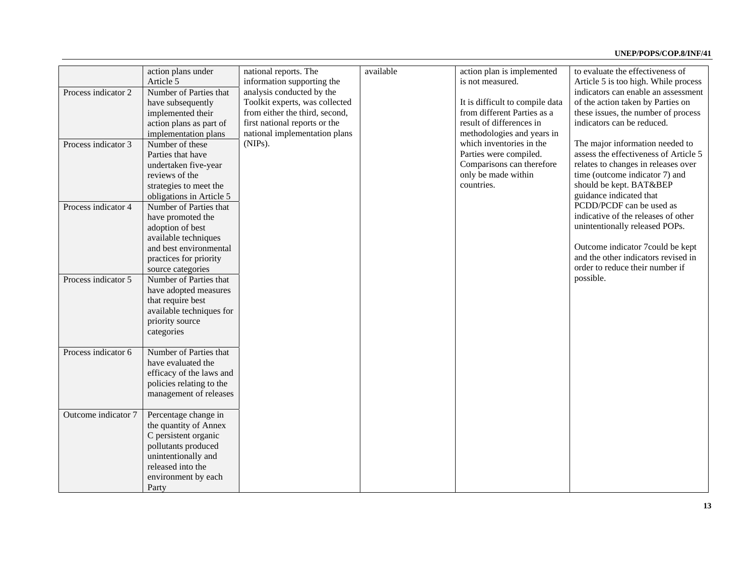|                     | action plans under       | national reports. The          | available | action plan is implemented      | to evaluate the effectiveness of      |
|---------------------|--------------------------|--------------------------------|-----------|---------------------------------|---------------------------------------|
|                     | Article 5                | information supporting the     |           | is not measured.                | Article 5 is too high. While process  |
| Process indicator 2 | Number of Parties that   | analysis conducted by the      |           |                                 | indicators can enable an assessment   |
|                     | have subsequently        | Toolkit experts, was collected |           | It is difficult to compile data | of the action taken by Parties on     |
|                     | implemented their        | from either the third, second, |           | from different Parties as a     | these issues, the number of process   |
|                     | action plans as part of  | first national reports or the  |           | result of differences in        | indicators can be reduced.            |
|                     | implementation plans     | national implementation plans  |           | methodologies and years in      |                                       |
| Process indicator 3 | Number of these          | (NIPs).                        |           | which inventories in the        | The major information needed to       |
|                     | Parties that have        |                                |           | Parties were compiled.          | assess the effectiveness of Article 5 |
|                     | undertaken five-year     |                                |           | Comparisons can therefore       | relates to changes in releases over   |
|                     | reviews of the           |                                |           | only be made within             | time (outcome indicator 7) and        |
|                     | strategies to meet the   |                                |           | countries.                      | should be kept. BAT&BEP               |
|                     | obligations in Article 5 |                                |           |                                 | guidance indicated that               |
| Process indicator 4 | Number of Parties that   |                                |           |                                 | PCDD/PCDF can be used as              |
|                     | have promoted the        |                                |           |                                 | indicative of the releases of other   |
|                     | adoption of best         |                                |           |                                 | unintentionally released POPs.        |
|                     | available techniques     |                                |           |                                 |                                       |
|                     | and best environmental   |                                |           |                                 | Outcome indicator 7 could be kept     |
|                     | practices for priority   |                                |           |                                 | and the other indicators revised in   |
|                     | source categories        |                                |           |                                 | order to reduce their number if       |
| Process indicator 5 | Number of Parties that   |                                |           |                                 | possible.                             |
|                     | have adopted measures    |                                |           |                                 |                                       |
|                     | that require best        |                                |           |                                 |                                       |
|                     | available techniques for |                                |           |                                 |                                       |
|                     | priority source          |                                |           |                                 |                                       |
|                     | categories               |                                |           |                                 |                                       |
|                     |                          |                                |           |                                 |                                       |
| Process indicator 6 | Number of Parties that   |                                |           |                                 |                                       |
|                     | have evaluated the       |                                |           |                                 |                                       |
|                     | efficacy of the laws and |                                |           |                                 |                                       |
|                     | policies relating to the |                                |           |                                 |                                       |
|                     | management of releases   |                                |           |                                 |                                       |
|                     |                          |                                |           |                                 |                                       |
| Outcome indicator 7 | Percentage change in     |                                |           |                                 |                                       |
|                     | the quantity of Annex    |                                |           |                                 |                                       |
|                     | C persistent organic     |                                |           |                                 |                                       |
|                     | pollutants produced      |                                |           |                                 |                                       |
|                     | unintentionally and      |                                |           |                                 |                                       |
|                     | released into the        |                                |           |                                 |                                       |
|                     |                          |                                |           |                                 |                                       |
|                     | environment by each      |                                |           |                                 |                                       |
|                     | Party                    |                                |           |                                 |                                       |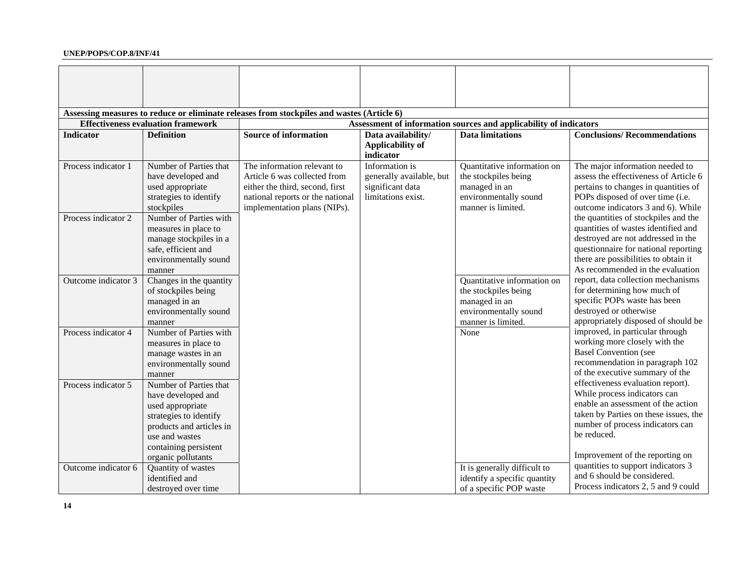|                     |                                              | Assessing measures to reduce or eliminate releases from stockpiles and wastes (Article 6) |                          |                                                                   |                                                                        |
|---------------------|----------------------------------------------|-------------------------------------------------------------------------------------------|--------------------------|-------------------------------------------------------------------|------------------------------------------------------------------------|
|                     | <b>Effectiveness evaluation framework</b>    |                                                                                           |                          | Assessment of information sources and applicability of indicators |                                                                        |
| <b>Indicator</b>    | <b>Definition</b>                            | <b>Source of information</b>                                                              | Data availability/       | <b>Data limitations</b>                                           | <b>Conclusions/Recommendations</b>                                     |
|                     |                                              |                                                                                           | <b>Applicability of</b>  |                                                                   |                                                                        |
|                     |                                              |                                                                                           | indicator                |                                                                   |                                                                        |
| Process indicator 1 | Number of Parties that                       | The information relevant to                                                               | Information is           | Quantitative information on                                       | The major information needed to                                        |
|                     | have developed and                           | Article 6 was collected from                                                              | generally available, but | the stockpiles being                                              | assess the effectiveness of Article 6                                  |
|                     | used appropriate                             | either the third, second, first                                                           | significant data         | managed in an                                                     | pertains to changes in quantities of                                   |
|                     | strategies to identify<br>stockpiles         | national reports or the national<br>implementation plans (NIPs).                          | limitations exist.       | environmentally sound<br>manner is limited.                       | POPs disposed of over time (i.e.<br>outcome indicators 3 and 6). While |
| Process indicator 2 | Number of Parties with                       |                                                                                           |                          |                                                                   | the quantities of stockpiles and the                                   |
|                     | measures in place to                         |                                                                                           |                          |                                                                   | quantities of wastes identified and                                    |
|                     | manage stockpiles in a                       |                                                                                           |                          |                                                                   | destroyed are not addressed in the                                     |
|                     | safe, efficient and                          |                                                                                           |                          |                                                                   | questionnaire for national reporting                                   |
|                     | environmentally sound                        |                                                                                           |                          |                                                                   | there are possibilities to obtain it                                   |
|                     | manner                                       |                                                                                           |                          |                                                                   | As recommended in the evaluation                                       |
| Outcome indicator 3 | Changes in the quantity                      |                                                                                           |                          | Quantitative information on                                       | report, data collection mechanisms                                     |
|                     | of stockpiles being                          |                                                                                           |                          | the stockpiles being                                              | for determining how much of                                            |
|                     | managed in an                                |                                                                                           |                          | managed in an                                                     | specific POPs waste has been                                           |
|                     | environmentally sound                        |                                                                                           |                          | environmentally sound                                             | destroyed or otherwise                                                 |
|                     | manner                                       |                                                                                           |                          | manner is limited.                                                | appropriately disposed of should be                                    |
| Process indicator 4 | Number of Parties with                       |                                                                                           |                          | None                                                              | improved, in particular through                                        |
|                     | measures in place to                         |                                                                                           |                          |                                                                   | working more closely with the                                          |
|                     | manage wastes in an                          |                                                                                           |                          |                                                                   | <b>Basel Convention (see</b>                                           |
|                     | environmentally sound                        |                                                                                           |                          |                                                                   | recommendation in paragraph 102<br>of the executive summary of the     |
|                     | manner                                       |                                                                                           |                          |                                                                   | effectiveness evaluation report).                                      |
| Process indicator 5 | Number of Parties that<br>have developed and |                                                                                           |                          |                                                                   | While process indicators can                                           |
|                     | used appropriate                             |                                                                                           |                          |                                                                   | enable an assessment of the action                                     |
|                     | strategies to identify                       |                                                                                           |                          |                                                                   | taken by Parties on these issues, the                                  |
|                     | products and articles in                     |                                                                                           |                          |                                                                   | number of process indicators can                                       |
|                     | use and wastes                               |                                                                                           |                          |                                                                   | be reduced.                                                            |
|                     | containing persistent                        |                                                                                           |                          |                                                                   |                                                                        |
|                     | organic pollutants                           |                                                                                           |                          |                                                                   | Improvement of the reporting on                                        |
| Outcome indicator 6 | Quantity of wastes                           |                                                                                           |                          | It is generally difficult to                                      | quantities to support indicators 3                                     |
|                     | identified and                               |                                                                                           |                          | identify a specific quantity                                      | and 6 should be considered.                                            |
|                     | destroyed over time                          |                                                                                           |                          | of a specific POP waste                                           | Process indicators 2, 5 and 9 could                                    |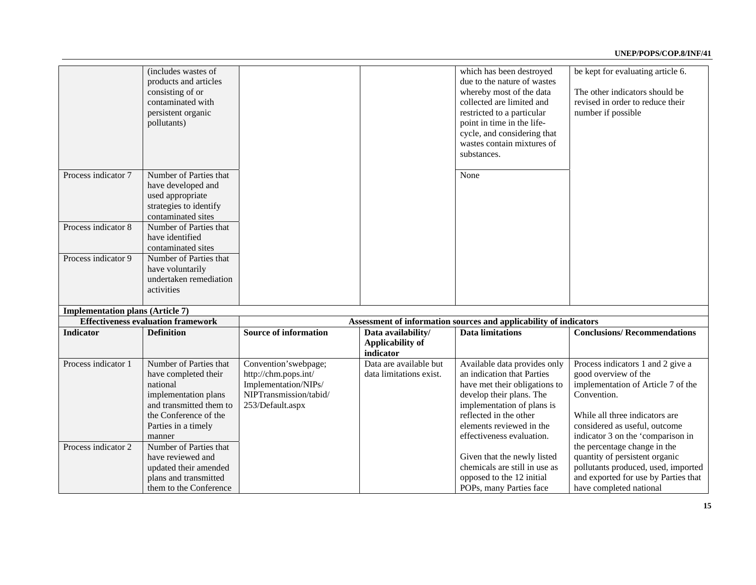|                                         | (includes wastes of<br>products and articles<br>consisting of or<br>contaminated with<br>persistent organic<br>pollutants)                                              |                                                                                                                    |                                                            | which has been destroyed<br>due to the nature of wastes<br>whereby most of the data<br>collected are limited and<br>restricted to a particular<br>point in time in the life-<br>cycle, and considering that<br>wastes contain mixtures of<br>substances. | be kept for evaluating article 6.<br>The other indicators should be<br>revised in order to reduce their<br>number if possible                                                                                          |
|-----------------------------------------|-------------------------------------------------------------------------------------------------------------------------------------------------------------------------|--------------------------------------------------------------------------------------------------------------------|------------------------------------------------------------|----------------------------------------------------------------------------------------------------------------------------------------------------------------------------------------------------------------------------------------------------------|------------------------------------------------------------------------------------------------------------------------------------------------------------------------------------------------------------------------|
| Process indicator 7                     | Number of Parties that<br>have developed and<br>used appropriate<br>strategies to identify<br>contaminated sites                                                        |                                                                                                                    |                                                            | None                                                                                                                                                                                                                                                     |                                                                                                                                                                                                                        |
| Process indicator 8                     | Number of Parties that<br>have identified<br>contaminated sites                                                                                                         |                                                                                                                    |                                                            |                                                                                                                                                                                                                                                          |                                                                                                                                                                                                                        |
| Process indicator 9                     | Number of Parties that<br>have voluntarily<br>undertaken remediation<br>activities                                                                                      |                                                                                                                    |                                                            |                                                                                                                                                                                                                                                          |                                                                                                                                                                                                                        |
| <b>Implementation plans (Article 7)</b> |                                                                                                                                                                         |                                                                                                                    |                                                            |                                                                                                                                                                                                                                                          |                                                                                                                                                                                                                        |
|                                         | <b>Effectiveness evaluation framework</b>                                                                                                                               |                                                                                                                    |                                                            | Assessment of information sources and applicability of indicators                                                                                                                                                                                        |                                                                                                                                                                                                                        |
| <b>Indicator</b>                        | <b>Definition</b>                                                                                                                                                       | <b>Source of information</b>                                                                                       | Data availability/<br><b>Applicability of</b><br>indicator | <b>Data limitations</b>                                                                                                                                                                                                                                  | <b>Conclusions/Recommendations</b>                                                                                                                                                                                     |
| Process indicator 1                     | Number of Parties that<br>have completed their<br>national<br>implementation plans<br>and transmitted them to<br>the Conference of the<br>Parties in a timely<br>manner | Convention'swebpage;<br>http://chm.pops.int/<br>Implementation/NIPs/<br>NIPTransmission/tabid/<br>253/Default.aspx | Data are available but<br>data limitations exist.          | Available data provides only<br>an indication that Parties<br>have met their obligations to<br>develop their plans. The<br>implementation of plans is<br>reflected in the other<br>elements reviewed in the<br>effectiveness evaluation.                 | Process indicators 1 and 2 give a<br>good overview of the<br>implementation of Article 7 of the<br>Convention.<br>While all three indicators are<br>considered as useful, outcome<br>indicator 3 on the 'comparison in |
| Process indicator 2                     | Number of Parties that<br>have reviewed and<br>updated their amended<br>plans and transmitted<br>them to the Conference                                                 |                                                                                                                    |                                                            | Given that the newly listed<br>chemicals are still in use as<br>opposed to the 12 initial<br>POPs, many Parties face                                                                                                                                     | the percentage change in the<br>quantity of persistent organic<br>pollutants produced, used, imported<br>and exported for use by Parties that<br>have completed national                                               |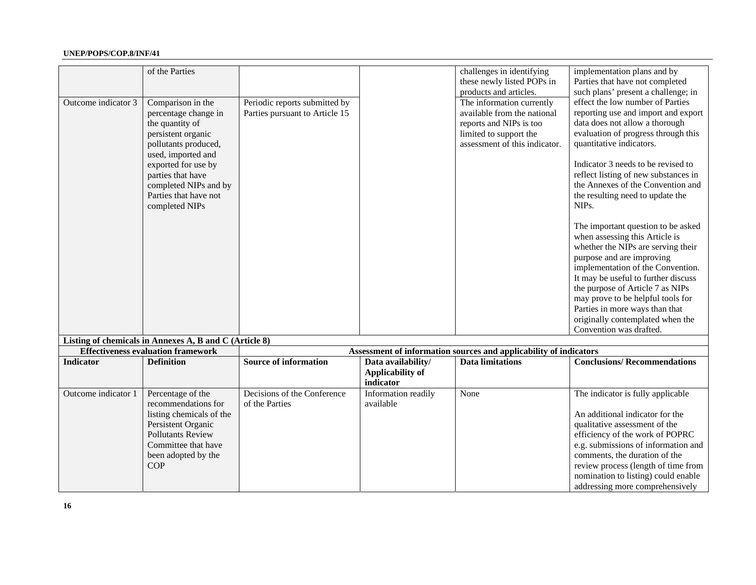|                     | of the Parties                                                                                                           |                                |                                      | challenges in identifying<br>these newly listed POPs in<br>products and articles.            | implementation plans and by<br>Parties that have not completed<br>such plans' present a challenge; in                                                                                                                                                                                                                                                                                                                               |
|---------------------|--------------------------------------------------------------------------------------------------------------------------|--------------------------------|--------------------------------------|----------------------------------------------------------------------------------------------|-------------------------------------------------------------------------------------------------------------------------------------------------------------------------------------------------------------------------------------------------------------------------------------------------------------------------------------------------------------------------------------------------------------------------------------|
| Outcome indicator 3 | Comparison in the                                                                                                        | Periodic reports submitted by  |                                      | The information currently                                                                    | effect the low number of Parties                                                                                                                                                                                                                                                                                                                                                                                                    |
|                     | percentage change in                                                                                                     | Parties pursuant to Article 15 |                                      | available from the national                                                                  | reporting use and import and export                                                                                                                                                                                                                                                                                                                                                                                                 |
|                     | the quantity of                                                                                                          |                                |                                      | reports and NIPs is too                                                                      | data does not allow a thorough                                                                                                                                                                                                                                                                                                                                                                                                      |
|                     | persistent organic<br>pollutants produced,                                                                               |                                |                                      | limited to support the<br>assessment of this indicator.                                      | evaluation of progress through this<br>quantitative indicators.                                                                                                                                                                                                                                                                                                                                                                     |
|                     | used, imported and<br>exported for use by                                                                                |                                |                                      |                                                                                              | Indicator 3 needs to be revised to                                                                                                                                                                                                                                                                                                                                                                                                  |
|                     | parties that have                                                                                                        |                                |                                      |                                                                                              | reflect listing of new substances in                                                                                                                                                                                                                                                                                                                                                                                                |
|                     | completed NIPs and by                                                                                                    |                                |                                      |                                                                                              | the Annexes of the Convention and                                                                                                                                                                                                                                                                                                                                                                                                   |
|                     | Parties that have not<br>completed NIPs                                                                                  |                                |                                      |                                                                                              | the resulting need to update the<br>NIP <sub>s</sub> .                                                                                                                                                                                                                                                                                                                                                                              |
| <b>Indicator</b>    | Listing of chemicals in Annexes A, B and C (Article 8)<br><b>Effectiveness evaluation framework</b><br><b>Definition</b> | <b>Source of information</b>   | Data availability/                   | Assessment of information sources and applicability of indicators<br><b>Data limitations</b> | The important question to be asked<br>when assessing this Article is<br>whether the NIPs are serving their<br>purpose and are improving<br>implementation of the Convention.<br>It may be useful to further discuss<br>the purpose of Article 7 as NIPs<br>may prove to be helpful tools for<br>Parties in more ways than that<br>originally contemplated when the<br>Convention was drafted.<br><b>Conclusions/Recommendations</b> |
|                     |                                                                                                                          |                                | <b>Applicability of</b><br>indicator |                                                                                              |                                                                                                                                                                                                                                                                                                                                                                                                                                     |
| Outcome indicator 1 | Percentage of the                                                                                                        | Decisions of the Conference    | Information readily                  | None                                                                                         | The indicator is fully applicable                                                                                                                                                                                                                                                                                                                                                                                                   |
|                     | recommendations for                                                                                                      | of the Parties                 | available                            |                                                                                              |                                                                                                                                                                                                                                                                                                                                                                                                                                     |
|                     | listing chemicals of the                                                                                                 |                                |                                      |                                                                                              | An additional indicator for the                                                                                                                                                                                                                                                                                                                                                                                                     |
|                     | Persistent Organic                                                                                                       |                                |                                      |                                                                                              | qualitative assessment of the                                                                                                                                                                                                                                                                                                                                                                                                       |
|                     | <b>Pollutants Review</b>                                                                                                 |                                |                                      |                                                                                              | efficiency of the work of POPRC                                                                                                                                                                                                                                                                                                                                                                                                     |
|                     | Committee that have                                                                                                      |                                |                                      |                                                                                              | e.g. submissions of information and<br>comments, the duration of the                                                                                                                                                                                                                                                                                                                                                                |
|                     | been adopted by the<br><b>COP</b>                                                                                        |                                |                                      |                                                                                              | review process (length of time from                                                                                                                                                                                                                                                                                                                                                                                                 |
|                     |                                                                                                                          |                                |                                      |                                                                                              | nomination to listing) could enable                                                                                                                                                                                                                                                                                                                                                                                                 |
|                     |                                                                                                                          |                                |                                      |                                                                                              | addressing more comprehensively                                                                                                                                                                                                                                                                                                                                                                                                     |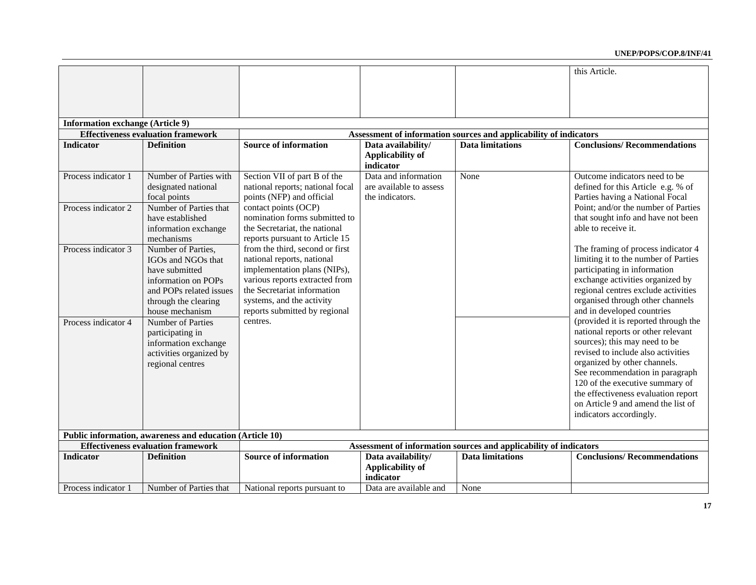|                                         |                                                                                                                                                         |                                                                                                                                                                                                                              |                                                                    |                                                                   | this Article.                                                                                                                                                                                                                                                                                                                                                   |
|-----------------------------------------|---------------------------------------------------------------------------------------------------------------------------------------------------------|------------------------------------------------------------------------------------------------------------------------------------------------------------------------------------------------------------------------------|--------------------------------------------------------------------|-------------------------------------------------------------------|-----------------------------------------------------------------------------------------------------------------------------------------------------------------------------------------------------------------------------------------------------------------------------------------------------------------------------------------------------------------|
|                                         |                                                                                                                                                         |                                                                                                                                                                                                                              |                                                                    |                                                                   |                                                                                                                                                                                                                                                                                                                                                                 |
| <b>Information exchange (Article 9)</b> |                                                                                                                                                         |                                                                                                                                                                                                                              |                                                                    |                                                                   |                                                                                                                                                                                                                                                                                                                                                                 |
|                                         | <b>Effectiveness evaluation framework</b>                                                                                                               |                                                                                                                                                                                                                              |                                                                    | Assessment of information sources and applicability of indicators |                                                                                                                                                                                                                                                                                                                                                                 |
| <b>Indicator</b>                        | <b>Definition</b>                                                                                                                                       | <b>Source of information</b>                                                                                                                                                                                                 | Data availability/                                                 | <b>Data limitations</b>                                           | <b>Conclusions/Recommendations</b>                                                                                                                                                                                                                                                                                                                              |
|                                         |                                                                                                                                                         |                                                                                                                                                                                                                              | <b>Applicability of</b><br>indicator                               |                                                                   |                                                                                                                                                                                                                                                                                                                                                                 |
| Process indicator 1                     | Number of Parties with<br>designated national<br>focal points                                                                                           | Section VII of part B of the<br>national reports; national focal<br>points (NFP) and official                                                                                                                                | Data and information<br>are available to assess<br>the indicators. | None                                                              | Outcome indicators need to be.<br>defined for this Article e.g. % of<br>Parties having a National Focal                                                                                                                                                                                                                                                         |
| Process indicator 2                     | Number of Parties that<br>have established<br>information exchange<br>mechanisms                                                                        | contact points (OCP)<br>nomination forms submitted to<br>the Secretariat, the national<br>reports pursuant to Article 15                                                                                                     |                                                                    |                                                                   | Point; and/or the number of Parties<br>that sought info and have not been<br>able to receive it.                                                                                                                                                                                                                                                                |
| Process indicator 3                     | Number of Parties.<br>IGOs and NGOs that<br>have submitted<br>information on POPs<br>and POPs related issues<br>through the clearing<br>house mechanism | from the third, second or first<br>national reports, national<br>implementation plans (NIPs),<br>various reports extracted from<br>the Secretariat information<br>systems, and the activity<br>reports submitted by regional |                                                                    |                                                                   | The framing of process indicator 4<br>limiting it to the number of Parties<br>participating in information<br>exchange activities organized by<br>regional centres exclude activities<br>organised through other channels<br>and in developed countries                                                                                                         |
| Process indicator 4                     | Number of Parties<br>participating in<br>information exchange<br>activities organized by<br>regional centres                                            | centres.                                                                                                                                                                                                                     |                                                                    |                                                                   | (provided it is reported through the<br>national reports or other relevant<br>sources); this may need to be<br>revised to include also activities<br>organized by other channels.<br>See recommendation in paragraph<br>120 of the executive summary of<br>the effectiveness evaluation report<br>on Article 9 and amend the list of<br>indicators accordingly. |
|                                         | Public information, awareness and education (Article 10)                                                                                                |                                                                                                                                                                                                                              |                                                                    |                                                                   |                                                                                                                                                                                                                                                                                                                                                                 |
|                                         | <b>Effectiveness evaluation framework</b>                                                                                                               |                                                                                                                                                                                                                              |                                                                    | Assessment of information sources and applicability of indicators |                                                                                                                                                                                                                                                                                                                                                                 |
| <b>Indicator</b>                        | <b>Definition</b>                                                                                                                                       | <b>Source of information</b>                                                                                                                                                                                                 | Data availability/<br><b>Applicability of</b><br>indicator         | <b>Data limitations</b>                                           | <b>Conclusions/Recommendations</b>                                                                                                                                                                                                                                                                                                                              |
| Process indicator 1                     | Number of Parties that                                                                                                                                  | National reports pursuant to                                                                                                                                                                                                 | Data are available and                                             | None                                                              |                                                                                                                                                                                                                                                                                                                                                                 |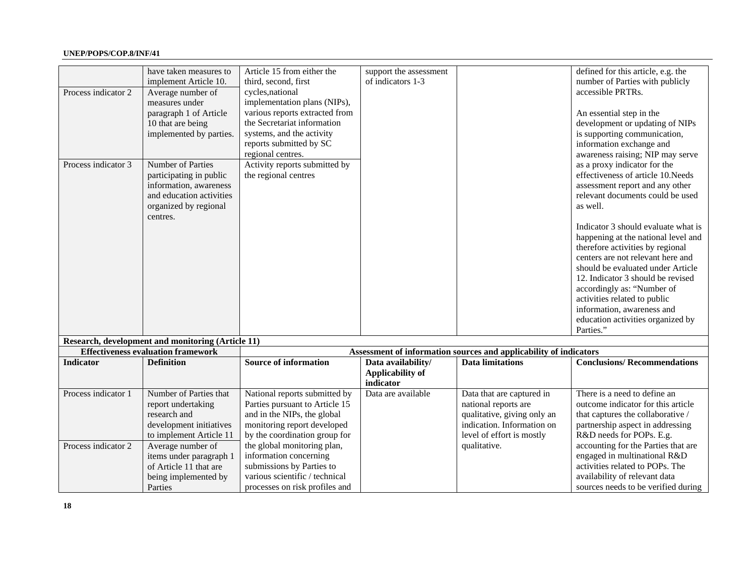|                     | have taken measures to<br>implement Article 10.               | Article 15 from either the<br>third, second, first             | support the assessment<br>of indicators 1-3 |                                                                   | defined for this article, e.g. the<br>number of Parties with publicly |
|---------------------|---------------------------------------------------------------|----------------------------------------------------------------|---------------------------------------------|-------------------------------------------------------------------|-----------------------------------------------------------------------|
| Process indicator 2 | Average number of                                             | cycles, national                                               |                                             |                                                                   | accessible PRTRs.                                                     |
|                     | measures under<br>paragraph 1 of Article                      | implementation plans (NIPs),<br>various reports extracted from |                                             |                                                                   | An essential step in the                                              |
|                     | 10 that are being                                             | the Secretariat information                                    |                                             |                                                                   | development or updating of NIPs                                       |
|                     | implemented by parties.                                       | systems, and the activity                                      |                                             |                                                                   | is supporting communication,                                          |
|                     |                                                               | reports submitted by SC                                        |                                             |                                                                   | information exchange and                                              |
|                     |                                                               | regional centres.                                              |                                             |                                                                   | awareness raising; NIP may serve                                      |
| Process indicator 3 | Number of Parties                                             | Activity reports submitted by                                  |                                             |                                                                   | as a proxy indicator for the                                          |
|                     | participating in public                                       | the regional centres                                           |                                             |                                                                   | effectiveness of article 10.Needs                                     |
|                     | information, awareness                                        |                                                                |                                             |                                                                   | assessment report and any other                                       |
|                     | and education activities<br>organized by regional<br>centres. |                                                                |                                             |                                                                   | relevant documents could be used<br>as well.                          |
|                     |                                                               |                                                                |                                             |                                                                   | Indicator 3 should evaluate what is                                   |
|                     |                                                               |                                                                |                                             |                                                                   | happening at the national level and                                   |
|                     |                                                               |                                                                |                                             |                                                                   | therefore activities by regional                                      |
|                     |                                                               |                                                                |                                             |                                                                   | centers are not relevant here and                                     |
|                     |                                                               |                                                                |                                             |                                                                   | should be evaluated under Article                                     |
|                     |                                                               |                                                                |                                             |                                                                   | 12. Indicator 3 should be revised                                     |
|                     |                                                               |                                                                |                                             |                                                                   | accordingly as: "Number of<br>activities related to public            |
|                     |                                                               |                                                                |                                             |                                                                   | information, awareness and                                            |
|                     |                                                               |                                                                |                                             |                                                                   | education activities organized by                                     |
|                     |                                                               |                                                                |                                             |                                                                   | Parties."                                                             |
|                     | Research, development and monitoring (Article 11)             |                                                                |                                             |                                                                   |                                                                       |
|                     | <b>Effectiveness evaluation framework</b>                     |                                                                |                                             | Assessment of information sources and applicability of indicators |                                                                       |
| <b>Indicator</b>    | <b>Definition</b>                                             | <b>Source of information</b>                                   | Data availability/                          | <b>Data limitations</b>                                           | <b>Conclusions/Recommendations</b>                                    |
|                     |                                                               |                                                                | <b>Applicability of</b><br>indicator        |                                                                   |                                                                       |
| Process indicator 1 | Number of Parties that                                        | National reports submitted by                                  | Data are available                          | Data that are captured in                                         | There is a need to define an                                          |
|                     | report undertaking                                            | Parties pursuant to Article 15                                 |                                             | national reports are                                              | outcome indicator for this article                                    |
|                     | research and<br>development initiatives                       | and in the NIPs, the global<br>monitoring report developed     |                                             | qualitative, giving only an<br>indication. Information on         | that captures the collaborative /<br>partnership aspect in addressing |
|                     | to implement Article 11                                       | by the coordination group for                                  |                                             | level of effort is mostly                                         | R&D needs for POPs. E.g.                                              |
| Process indicator 2 | Average number of                                             | the global monitoring plan,                                    |                                             | qualitative.                                                      | accounting for the Parties that are                                   |
|                     | items under paragraph 1                                       | information concerning                                         |                                             |                                                                   | engaged in multinational R&D                                          |
|                     | of Article 11 that are                                        | submissions by Parties to                                      |                                             |                                                                   | activities related to POPs. The                                       |
|                     | being implemented by                                          | various scientific / technical                                 |                                             |                                                                   | availability of relevant data                                         |
|                     | Parties                                                       | processes on risk profiles and                                 |                                             |                                                                   | sources needs to be verified during                                   |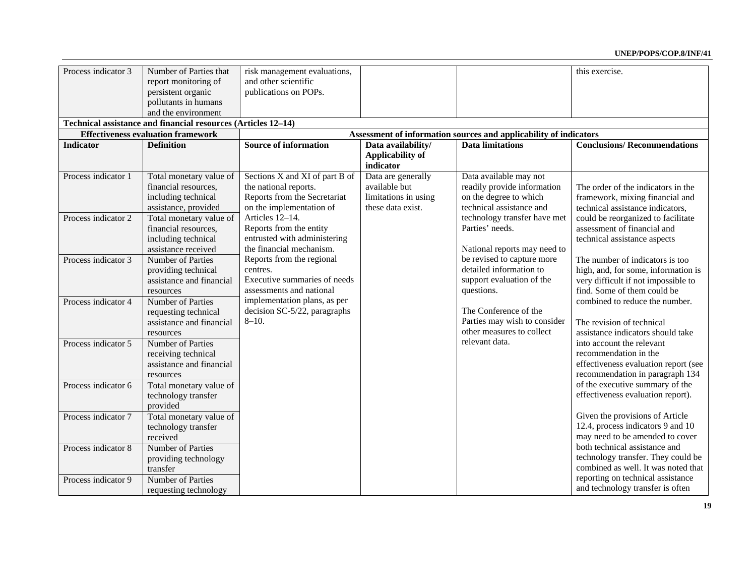| Process indicator 3 | Number of Parties that                                        | risk management evaluations,   |                         |                                                                   | this exercise.                       |
|---------------------|---------------------------------------------------------------|--------------------------------|-------------------------|-------------------------------------------------------------------|--------------------------------------|
|                     | report monitoring of                                          | and other scientific           |                         |                                                                   |                                      |
|                     | persistent organic                                            | publications on POPs.          |                         |                                                                   |                                      |
|                     | pollutants in humans                                          |                                |                         |                                                                   |                                      |
|                     | and the environment                                           |                                |                         |                                                                   |                                      |
|                     | Technical assistance and financial resources (Articles 12-14) |                                |                         |                                                                   |                                      |
|                     | <b>Effectiveness evaluation framework</b>                     |                                |                         | Assessment of information sources and applicability of indicators |                                      |
| <b>Indicator</b>    | <b>Definition</b>                                             | <b>Source of information</b>   | Data availability/      | <b>Data limitations</b>                                           | <b>Conclusions/Recommendations</b>   |
|                     |                                                               |                                | <b>Applicability of</b> |                                                                   |                                      |
|                     |                                                               |                                | indicator               |                                                                   |                                      |
| Process indicator 1 | Total monetary value of                                       | Sections X and XI of part B of | Data are generally      | Data available may not                                            |                                      |
|                     | financial resources,                                          | the national reports.          | available but           | readily provide information                                       | The order of the indicators in the   |
|                     | including technical                                           | Reports from the Secretariat   | limitations in using    | on the degree to which                                            | framework, mixing financial and      |
|                     | assistance, provided                                          | on the implementation of       | these data exist.       | technical assistance and                                          | technical assistance indicators,     |
| Process indicator 2 | Total monetary value of                                       | Articles 12-14.                |                         | technology transfer have met                                      | could be reorganized to facilitate   |
|                     | financial resources,                                          | Reports from the entity        |                         | Parties' needs.                                                   | assessment of financial and          |
|                     | including technical                                           | entrusted with administering   |                         |                                                                   | technical assistance aspects         |
|                     | assistance received                                           | the financial mechanism.       |                         | National reports may need to                                      |                                      |
| Process indicator 3 | <b>Number of Parties</b>                                      | Reports from the regional      |                         | be revised to capture more                                        | The number of indicators is too      |
|                     | providing technical                                           | centres.                       |                         | detailed information to                                           | high, and, for some, information is  |
|                     | assistance and financial                                      | Executive summaries of needs   |                         | support evaluation of the                                         | very difficult if not impossible to  |
|                     | resources                                                     | assessments and national       |                         | questions.                                                        | find. Some of them could be          |
| Process indicator 4 | Number of Parties                                             | implementation plans, as per   |                         |                                                                   | combined to reduce the number.       |
|                     | requesting technical                                          | decision SC-5/22, paragraphs   |                         | The Conference of the                                             |                                      |
|                     | assistance and financial                                      | $8 - 10.$                      |                         | Parties may wish to consider                                      | The revision of technical            |
|                     | resources                                                     |                                |                         | other measures to collect                                         | assistance indicators should take    |
| Process indicator 5 | Number of Parties                                             |                                |                         | relevant data.                                                    | into account the relevant            |
|                     | receiving technical                                           |                                |                         |                                                                   | recommendation in the                |
|                     | assistance and financial                                      |                                |                         |                                                                   | effectiveness evaluation report (see |
|                     | resources                                                     |                                |                         |                                                                   | recommendation in paragraph 134      |
| Process indicator 6 | Total monetary value of                                       |                                |                         |                                                                   | of the executive summary of the      |
|                     | technology transfer                                           |                                |                         |                                                                   | effectiveness evaluation report).    |
|                     | provided                                                      |                                |                         |                                                                   |                                      |
| Process indicator 7 | Total monetary value of                                       |                                |                         |                                                                   | Given the provisions of Article      |
|                     | technology transfer                                           |                                |                         |                                                                   | 12.4, process indicators 9 and 10    |
|                     | received                                                      |                                |                         |                                                                   | may need to be amended to cover      |
| Process indicator 8 | Number of Parties                                             |                                |                         |                                                                   | both technical assistance and        |
|                     | providing technology                                          |                                |                         |                                                                   | technology transfer. They could be   |
|                     | transfer                                                      |                                |                         |                                                                   | combined as well. It was noted that  |
| Process indicator 9 | Number of Parties                                             |                                |                         |                                                                   | reporting on technical assistance    |
|                     | requesting technology                                         |                                |                         |                                                                   | and technology transfer is often     |
|                     |                                                               |                                |                         |                                                                   |                                      |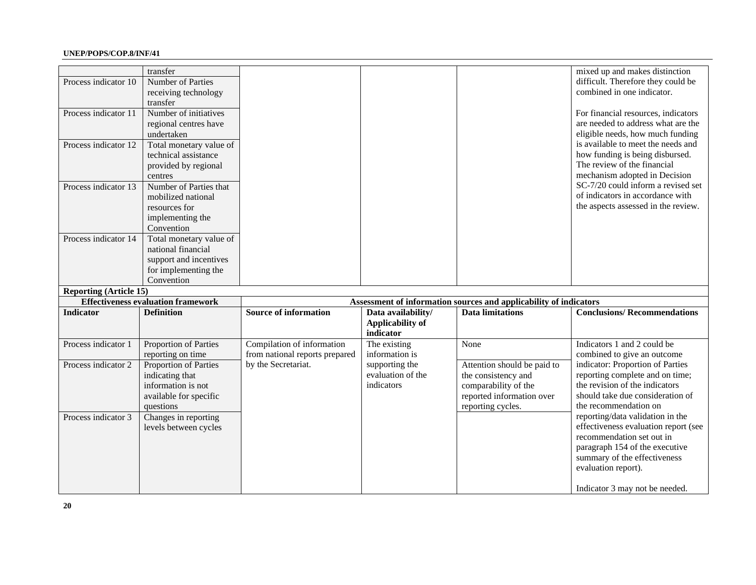| Process indicator 10<br>Process indicator 11<br>Process indicator 12<br>Process indicator 13<br>Process indicator 14 | transfer<br>Number of Parties<br>receiving technology<br>transfer<br>Number of initiatives<br>regional centres have<br>undertaken<br>Total monetary value of<br>technical assistance<br>provided by regional<br>centres<br>Number of Parties that<br>mobilized national<br>resources for<br>implementing the<br>Convention<br>Total monetary value of<br>national financial<br>support and incentives<br>for implementing the |                                                              |                                                   |                                                                                                                              | mixed up and makes distinction<br>difficult. Therefore they could be<br>combined in one indicator.<br>For financial resources, indicators<br>are needed to address what are the<br>eligible needs, how much funding<br>is available to meet the needs and<br>how funding is being disbursed.<br>The review of the financial<br>mechanism adopted in Decision<br>SC-7/20 could inform a revised set<br>of indicators in accordance with<br>the aspects assessed in the review. |
|----------------------------------------------------------------------------------------------------------------------|-------------------------------------------------------------------------------------------------------------------------------------------------------------------------------------------------------------------------------------------------------------------------------------------------------------------------------------------------------------------------------------------------------------------------------|--------------------------------------------------------------|---------------------------------------------------|------------------------------------------------------------------------------------------------------------------------------|-------------------------------------------------------------------------------------------------------------------------------------------------------------------------------------------------------------------------------------------------------------------------------------------------------------------------------------------------------------------------------------------------------------------------------------------------------------------------------|
|                                                                                                                      | Convention                                                                                                                                                                                                                                                                                                                                                                                                                    |                                                              |                                                   |                                                                                                                              |                                                                                                                                                                                                                                                                                                                                                                                                                                                                               |
| <b>Reporting (Article 15)</b>                                                                                        | <b>Effectiveness evaluation framework</b>                                                                                                                                                                                                                                                                                                                                                                                     |                                                              |                                                   | Assessment of information sources and applicability of indicators                                                            |                                                                                                                                                                                                                                                                                                                                                                                                                                                                               |
| <b>Indicator</b>                                                                                                     | <b>Definition</b>                                                                                                                                                                                                                                                                                                                                                                                                             | <b>Source of information</b>                                 | Data availability/                                | <b>Data limitations</b>                                                                                                      | <b>Conclusions/Recommendations</b>                                                                                                                                                                                                                                                                                                                                                                                                                                            |
|                                                                                                                      |                                                                                                                                                                                                                                                                                                                                                                                                                               |                                                              | <b>Applicability of</b><br>indicator              |                                                                                                                              |                                                                                                                                                                                                                                                                                                                                                                                                                                                                               |
| Process indicator 1                                                                                                  | Proportion of Parties<br>reporting on time                                                                                                                                                                                                                                                                                                                                                                                    | Compilation of information<br>from national reports prepared | The existing<br>information is                    | None                                                                                                                         | Indicators 1 and 2 could be<br>combined to give an outcome                                                                                                                                                                                                                                                                                                                                                                                                                    |
| Process indicator 2                                                                                                  | Proportion of Parties<br>indicating that<br>information is not<br>available for specific<br>questions                                                                                                                                                                                                                                                                                                                         | by the Secretariat.                                          | supporting the<br>evaluation of the<br>indicators | Attention should be paid to<br>the consistency and<br>comparability of the<br>reported information over<br>reporting cycles. | indicator: Proportion of Parties<br>reporting complete and on time;<br>the revision of the indicators<br>should take due consideration of<br>the recommendation on                                                                                                                                                                                                                                                                                                            |
| Process indicator 3                                                                                                  | Changes in reporting<br>levels between cycles                                                                                                                                                                                                                                                                                                                                                                                 |                                                              |                                                   |                                                                                                                              | reporting/data validation in the<br>effectiveness evaluation report (see<br>recommendation set out in<br>paragraph 154 of the executive<br>summary of the effectiveness                                                                                                                                                                                                                                                                                                       |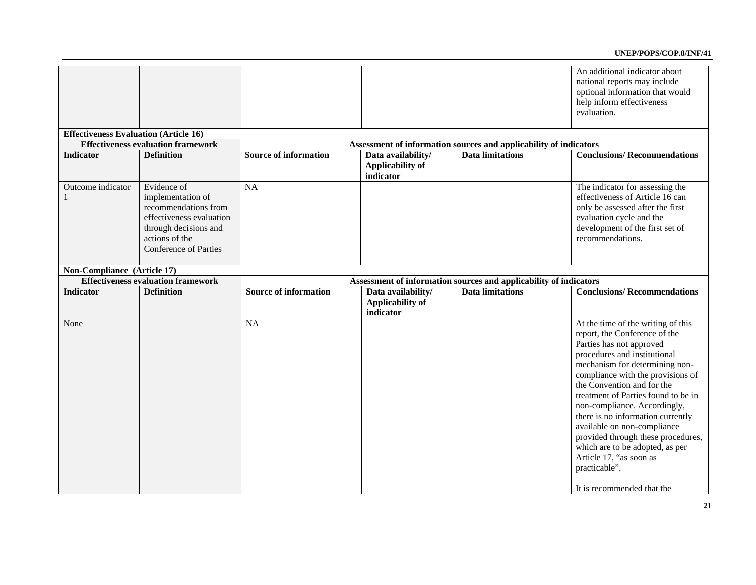|                                              |                                           |                              |                                                            |                                                                   | An additional indicator about       |
|----------------------------------------------|-------------------------------------------|------------------------------|------------------------------------------------------------|-------------------------------------------------------------------|-------------------------------------|
|                                              |                                           |                              |                                                            |                                                                   | national reports may include        |
|                                              |                                           |                              |                                                            |                                                                   | optional information that would     |
|                                              |                                           |                              |                                                            |                                                                   | help inform effectiveness           |
|                                              |                                           |                              |                                                            |                                                                   |                                     |
|                                              |                                           |                              |                                                            |                                                                   | evaluation.                         |
|                                              |                                           |                              |                                                            |                                                                   |                                     |
| <b>Effectiveness Evaluation (Article 16)</b> |                                           |                              |                                                            |                                                                   |                                     |
|                                              | <b>Effectiveness evaluation framework</b> |                              |                                                            | Assessment of information sources and applicability of indicators |                                     |
| Indicator                                    | <b>Definition</b>                         | <b>Source of information</b> | Data availability/<br><b>Applicability of</b><br>indicator | <b>Data limitations</b>                                           | <b>Conclusions/Recommendations</b>  |
| Outcome indicator                            | Evidence of                               | NA                           |                                                            |                                                                   | The indicator for assessing the     |
| 1                                            | implementation of                         |                              |                                                            |                                                                   | effectiveness of Article 16 can     |
|                                              | recommendations from                      |                              |                                                            |                                                                   | only be assessed after the first    |
|                                              | effectiveness evaluation                  |                              |                                                            |                                                                   | evaluation cycle and the            |
|                                              |                                           |                              |                                                            |                                                                   |                                     |
|                                              | through decisions and                     |                              |                                                            |                                                                   | development of the first set of     |
|                                              | actions of the                            |                              |                                                            |                                                                   | recommendations.                    |
|                                              | <b>Conference of Parties</b>              |                              |                                                            |                                                                   |                                     |
|                                              |                                           |                              |                                                            |                                                                   |                                     |
| Non-Compliance (Article 17)                  |                                           |                              |                                                            |                                                                   |                                     |
|                                              | <b>Effectiveness evaluation framework</b> |                              |                                                            | Assessment of information sources and applicability of indicators |                                     |
| Indicator                                    | <b>Definition</b>                         | <b>Source of information</b> | Data availability/                                         | <b>Data limitations</b>                                           | <b>Conclusions/Recommendations</b>  |
|                                              |                                           |                              | <b>Applicability of</b>                                    |                                                                   |                                     |
|                                              |                                           |                              | indicator                                                  |                                                                   |                                     |
| None                                         |                                           | <b>NA</b>                    |                                                            |                                                                   | At the time of the writing of this  |
|                                              |                                           |                              |                                                            |                                                                   | report, the Conference of the       |
|                                              |                                           |                              |                                                            |                                                                   | Parties has not approved            |
|                                              |                                           |                              |                                                            |                                                                   |                                     |
|                                              |                                           |                              |                                                            |                                                                   | procedures and institutional        |
|                                              |                                           |                              |                                                            |                                                                   | mechanism for determining non-      |
|                                              |                                           |                              |                                                            |                                                                   | compliance with the provisions of   |
|                                              |                                           |                              |                                                            |                                                                   | the Convention and for the          |
|                                              |                                           |                              |                                                            |                                                                   | treatment of Parties found to be in |
|                                              |                                           |                              |                                                            |                                                                   | non-compliance. Accordingly,        |
|                                              |                                           |                              |                                                            |                                                                   | there is no information currently   |
|                                              |                                           |                              |                                                            |                                                                   | available on non-compliance         |
|                                              |                                           |                              |                                                            |                                                                   | provided through these procedures,  |
|                                              |                                           |                              |                                                            |                                                                   |                                     |
|                                              |                                           |                              |                                                            |                                                                   | which are to be adopted, as per     |
|                                              |                                           |                              |                                                            |                                                                   | Article 17, "as soon as             |
|                                              |                                           |                              |                                                            |                                                                   | practicable".                       |
|                                              |                                           |                              |                                                            |                                                                   |                                     |
|                                              |                                           |                              |                                                            |                                                                   | It is recommended that the          |